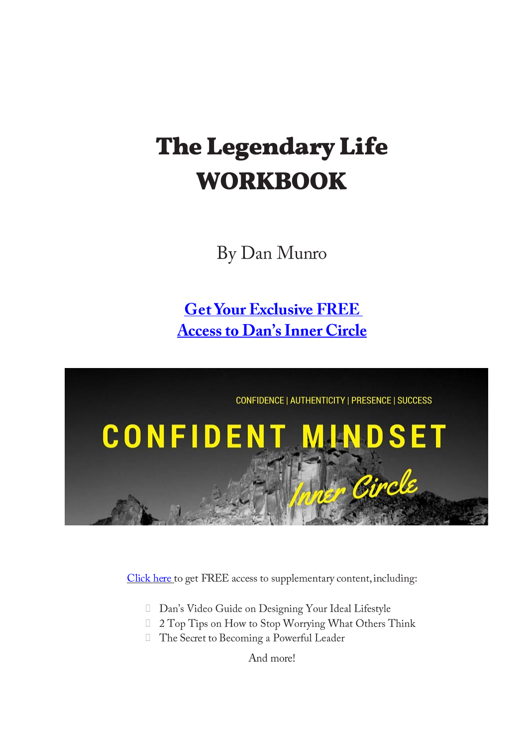# **The Legendary Life WORKBOOK**

By Dan Munro

**Get Your Exclusive FREE Access to Dan's Inner Circle** 



Click here to get FREE access to supplementary content, including:

- Dan's Video Guide on Designing Your Ideal Lifestyle
- □ 2 Top Tips on How to Stop Worrying What Others Think
- The Secret to Becoming a Powerful Leader

And more!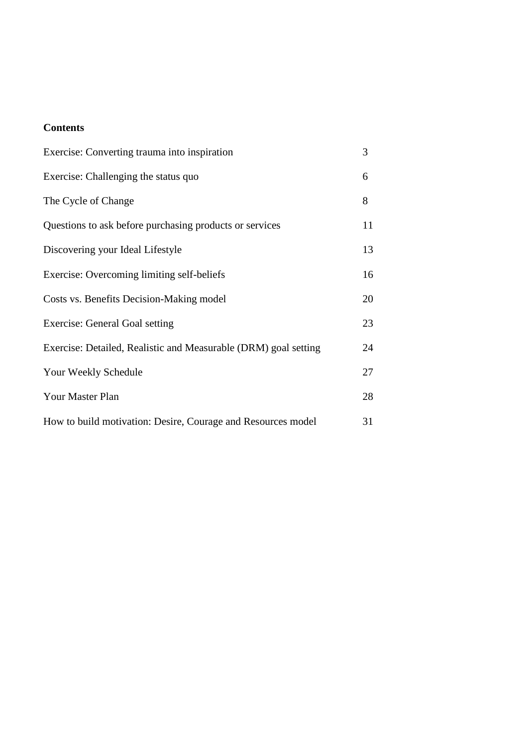# **Contents**

| Exercise: Converting trauma into inspiration                    | 3  |
|-----------------------------------------------------------------|----|
| Exercise: Challenging the status quo                            | 6  |
| The Cycle of Change                                             | 8  |
| Questions to ask before purchasing products or services         | 11 |
| Discovering your Ideal Lifestyle                                | 13 |
| Exercise: Overcoming limiting self-beliefs                      | 16 |
| Costs vs. Benefits Decision-Making model                        | 20 |
| <b>Exercise: General Goal setting</b>                           | 23 |
| Exercise: Detailed, Realistic and Measurable (DRM) goal setting | 24 |
| Your Weekly Schedule                                            | 27 |
| Your Master Plan                                                | 28 |
| How to build motivation: Desire, Courage and Resources model    | 31 |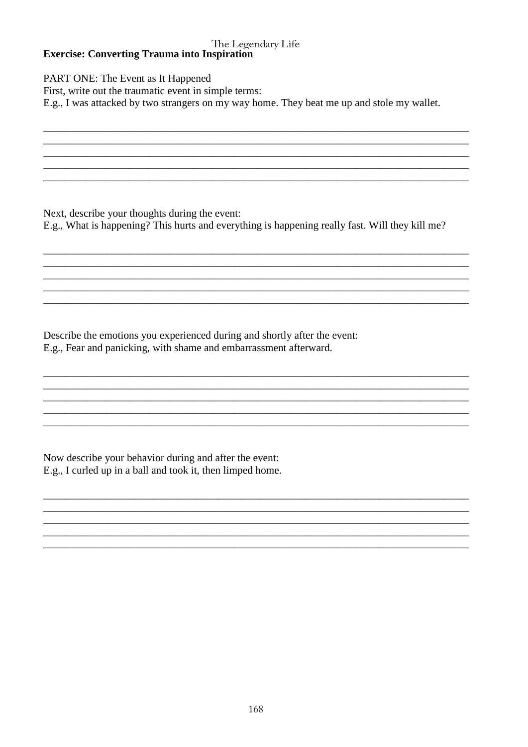## The Legendary Life **Exercise: Converting Trauma into Inspiration**

PART ONE: The Event as It Happened First, write out the traumatic event in simple terms: E.g., I was attacked by two strangers on my way home. They beat me up and stole my wallet.

Next, describe your thoughts during the event: E.g., What is happening? This hurts and everything is happening really fast. Will they kill me?

Describe the emotions you experienced during and shortly after the event: E.g., Fear and panicking, with shame and embarrassment afterward.

Now describe your behavior during and after the event: E.g., I curled up in a ball and took it, then limped home.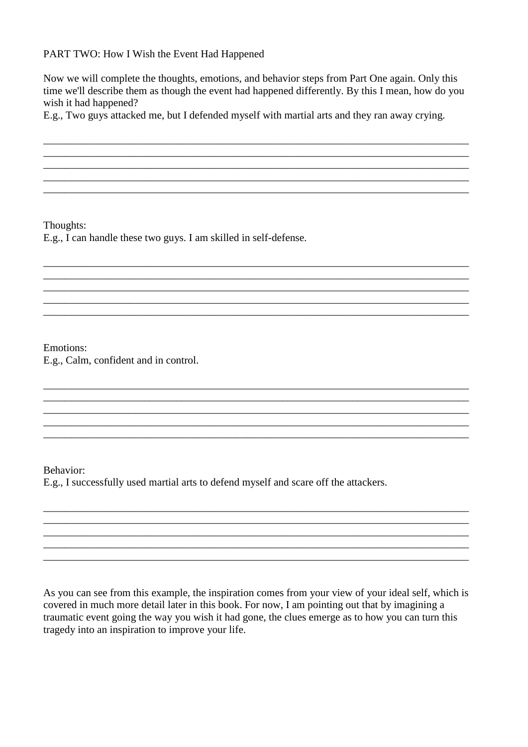## PART TWO: How I Wish the Event Had Happened

Now we will complete the thoughts, emotions, and behavior steps from Part One again. Only this time we'll describe them as though the event had happened differently. By this I mean, how do you wish it had happened?

\_\_\_\_\_\_\_\_\_\_\_\_\_\_\_\_\_\_\_\_\_\_\_\_\_\_\_\_\_\_\_\_\_\_\_\_\_\_\_\_\_\_\_\_\_\_\_\_\_\_\_\_\_\_\_\_\_\_\_\_\_\_\_\_\_\_\_\_\_\_\_\_\_\_\_\_\_\_\_\_ \_\_\_\_\_\_\_\_\_\_\_\_\_\_\_\_\_\_\_\_\_\_\_\_\_\_\_\_\_\_\_\_\_\_\_\_\_\_\_\_\_\_\_\_\_\_\_\_\_\_\_\_\_\_\_\_\_\_\_\_\_\_\_\_\_\_\_\_\_\_\_\_\_\_\_\_\_\_\_\_ \_\_\_\_\_\_\_\_\_\_\_\_\_\_\_\_\_\_\_\_\_\_\_\_\_\_\_\_\_\_\_\_\_\_\_\_\_\_\_\_\_\_\_\_\_\_\_\_\_\_\_\_\_\_\_\_\_\_\_\_\_\_\_\_\_\_\_\_\_\_\_\_\_\_\_\_\_\_\_\_ \_\_\_\_\_\_\_\_\_\_\_\_\_\_\_\_\_\_\_\_\_\_\_\_\_\_\_\_\_\_\_\_\_\_\_\_\_\_\_\_\_\_\_\_\_\_\_\_\_\_\_\_\_\_\_\_\_\_\_\_\_\_\_\_\_\_\_\_\_\_\_\_\_\_\_\_\_\_\_\_ \_\_\_\_\_\_\_\_\_\_\_\_\_\_\_\_\_\_\_\_\_\_\_\_\_\_\_\_\_\_\_\_\_\_\_\_\_\_\_\_\_\_\_\_\_\_\_\_\_\_\_\_\_\_\_\_\_\_\_\_\_\_\_\_\_\_\_\_\_\_\_\_\_\_\_\_\_\_\_\_

\_\_\_\_\_\_\_\_\_\_\_\_\_\_\_\_\_\_\_\_\_\_\_\_\_\_\_\_\_\_\_\_\_\_\_\_\_\_\_\_\_\_\_\_\_\_\_\_\_\_\_\_\_\_\_\_\_\_\_\_\_\_\_\_\_\_\_\_\_\_\_\_\_\_\_\_\_\_\_\_ \_\_\_\_\_\_\_\_\_\_\_\_\_\_\_\_\_\_\_\_\_\_\_\_\_\_\_\_\_\_\_\_\_\_\_\_\_\_\_\_\_\_\_\_\_\_\_\_\_\_\_\_\_\_\_\_\_\_\_\_\_\_\_\_\_\_\_\_\_\_\_\_\_\_\_\_\_\_\_\_ \_\_\_\_\_\_\_\_\_\_\_\_\_\_\_\_\_\_\_\_\_\_\_\_\_\_\_\_\_\_\_\_\_\_\_\_\_\_\_\_\_\_\_\_\_\_\_\_\_\_\_\_\_\_\_\_\_\_\_\_\_\_\_\_\_\_\_\_\_\_\_\_\_\_\_\_\_\_\_\_ \_\_\_\_\_\_\_\_\_\_\_\_\_\_\_\_\_\_\_\_\_\_\_\_\_\_\_\_\_\_\_\_\_\_\_\_\_\_\_\_\_\_\_\_\_\_\_\_\_\_\_\_\_\_\_\_\_\_\_\_\_\_\_\_\_\_\_\_\_\_\_\_\_\_\_\_\_\_\_\_ \_\_\_\_\_\_\_\_\_\_\_\_\_\_\_\_\_\_\_\_\_\_\_\_\_\_\_\_\_\_\_\_\_\_\_\_\_\_\_\_\_\_\_\_\_\_\_\_\_\_\_\_\_\_\_\_\_\_\_\_\_\_\_\_\_\_\_\_\_\_\_\_\_\_\_\_\_\_\_\_

\_\_\_\_\_\_\_\_\_\_\_\_\_\_\_\_\_\_\_\_\_\_\_\_\_\_\_\_\_\_\_\_\_\_\_\_\_\_\_\_\_\_\_\_\_\_\_\_\_\_\_\_\_\_\_\_\_\_\_\_\_\_\_\_\_\_\_\_\_\_\_\_\_\_\_\_\_\_\_\_ \_\_\_\_\_\_\_\_\_\_\_\_\_\_\_\_\_\_\_\_\_\_\_\_\_\_\_\_\_\_\_\_\_\_\_\_\_\_\_\_\_\_\_\_\_\_\_\_\_\_\_\_\_\_\_\_\_\_\_\_\_\_\_\_\_\_\_\_\_\_\_\_\_\_\_\_\_\_\_\_

\_\_\_\_\_\_\_\_\_\_\_\_\_\_\_\_\_\_\_\_\_\_\_\_\_\_\_\_\_\_\_\_\_\_\_\_\_\_\_\_\_\_\_\_\_\_\_\_\_\_\_\_\_\_\_\_\_\_\_\_\_\_\_\_\_\_\_\_\_\_\_\_\_\_\_\_\_\_\_\_ \_\_\_\_\_\_\_\_\_\_\_\_\_\_\_\_\_\_\_\_\_\_\_\_\_\_\_\_\_\_\_\_\_\_\_\_\_\_\_\_\_\_\_\_\_\_\_\_\_\_\_\_\_\_\_\_\_\_\_\_\_\_\_\_\_\_\_\_\_\_\_\_\_\_\_\_\_\_\_\_

\_\_\_\_\_\_\_\_\_\_\_\_\_\_\_\_\_\_\_\_\_\_\_\_\_\_\_\_\_\_\_\_\_\_\_\_\_\_\_\_\_\_\_\_\_\_\_\_\_\_\_\_\_\_\_\_\_\_\_\_\_\_\_\_\_\_\_\_\_\_\_\_\_\_\_\_\_\_\_\_ \_\_\_\_\_\_\_\_\_\_\_\_\_\_\_\_\_\_\_\_\_\_\_\_\_\_\_\_\_\_\_\_\_\_\_\_\_\_\_\_\_\_\_\_\_\_\_\_\_\_\_\_\_\_\_\_\_\_\_\_\_\_\_\_\_\_\_\_\_\_\_\_\_\_\_\_\_\_\_\_ \_\_\_\_\_\_\_\_\_\_\_\_\_\_\_\_\_\_\_\_\_\_\_\_\_\_\_\_\_\_\_\_\_\_\_\_\_\_\_\_\_\_\_\_\_\_\_\_\_\_\_\_\_\_\_\_\_\_\_\_\_\_\_\_\_\_\_\_\_\_\_\_\_\_\_\_\_\_\_\_ \_\_\_\_\_\_\_\_\_\_\_\_\_\_\_\_\_\_\_\_\_\_\_\_\_\_\_\_\_\_\_\_\_\_\_\_\_\_\_\_\_\_\_\_\_\_\_\_\_\_\_\_\_\_\_\_\_\_\_\_\_\_\_\_\_\_\_\_\_\_\_\_\_\_\_\_\_\_\_\_ \_\_\_\_\_\_\_\_\_\_\_\_\_\_\_\_\_\_\_\_\_\_\_\_\_\_\_\_\_\_\_\_\_\_\_\_\_\_\_\_\_\_\_\_\_\_\_\_\_\_\_\_\_\_\_\_\_\_\_\_\_\_\_\_\_\_\_\_\_\_\_\_\_\_\_\_\_\_\_\_

E.g., Two guys attacked me, but I defended myself with martial arts and they ran away crying.

Thoughts:

E.g., I can handle these two guys. I am skilled in self-defense.

Emotions: E.g., Calm, confident and in control.

Behavior:

E.g., I successfully used martial arts to defend myself and scare off the attackers.

As you can see from this example, the inspiration comes from your view of your ideal self, which is covered in much more detail later in this book. For now, I am pointing out that by imagining a traumatic event going the way you wish it had gone, the clues emerge as to how you can turn this tragedy into an inspiration to improve your life.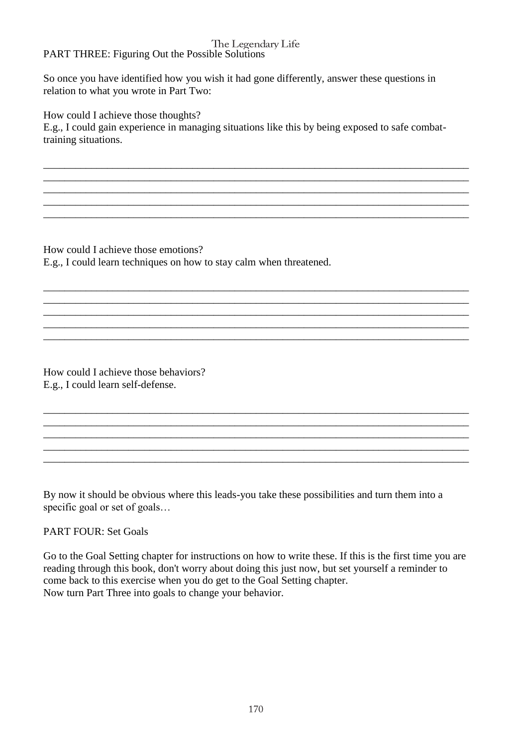#### The Legendary Life PART THREE: Figuring Out the Possible Solutions

So once you have identified how you wish it had gone differently, answer these questions in relation to what you wrote in Part Two:

How could I achieve those thoughts?

E.g., I could gain experience in managing situations like this by being exposed to safe combattraining situations.

\_\_\_\_\_\_\_\_\_\_\_\_\_\_\_\_\_\_\_\_\_\_\_\_\_\_\_\_\_\_\_\_\_\_\_\_\_\_\_\_\_\_\_\_\_\_\_\_\_\_\_\_\_\_\_\_\_\_\_\_\_\_\_\_\_\_\_\_\_\_\_\_\_\_\_\_\_\_\_\_ \_\_\_\_\_\_\_\_\_\_\_\_\_\_\_\_\_\_\_\_\_\_\_\_\_\_\_\_\_\_\_\_\_\_\_\_\_\_\_\_\_\_\_\_\_\_\_\_\_\_\_\_\_\_\_\_\_\_\_\_\_\_\_\_\_\_\_\_\_\_\_\_\_\_\_\_\_\_\_\_

\_\_\_\_\_\_\_\_\_\_\_\_\_\_\_\_\_\_\_\_\_\_\_\_\_\_\_\_\_\_\_\_\_\_\_\_\_\_\_\_\_\_\_\_\_\_\_\_\_\_\_\_\_\_\_\_\_\_\_\_\_\_\_\_\_\_\_\_\_\_\_\_\_\_\_\_\_\_\_\_ \_\_\_\_\_\_\_\_\_\_\_\_\_\_\_\_\_\_\_\_\_\_\_\_\_\_\_\_\_\_\_\_\_\_\_\_\_\_\_\_\_\_\_\_\_\_\_\_\_\_\_\_\_\_\_\_\_\_\_\_\_\_\_\_\_\_\_\_\_\_\_\_\_\_\_\_\_\_\_\_

\_\_\_\_\_\_\_\_\_\_\_\_\_\_\_\_\_\_\_\_\_\_\_\_\_\_\_\_\_\_\_\_\_\_\_\_\_\_\_\_\_\_\_\_\_\_\_\_\_\_\_\_\_\_\_\_\_\_\_\_\_\_\_\_\_\_\_\_\_\_\_\_\_\_\_\_\_\_\_\_ \_\_\_\_\_\_\_\_\_\_\_\_\_\_\_\_\_\_\_\_\_\_\_\_\_\_\_\_\_\_\_\_\_\_\_\_\_\_\_\_\_\_\_\_\_\_\_\_\_\_\_\_\_\_\_\_\_\_\_\_\_\_\_\_\_\_\_\_\_\_\_\_\_\_\_\_\_\_\_\_

\_\_\_\_\_\_\_\_\_\_\_\_\_\_\_\_\_\_\_\_\_\_\_\_\_\_\_\_\_\_\_\_\_\_\_\_\_\_\_\_\_\_\_\_\_\_\_\_\_\_\_\_\_\_\_\_\_\_\_\_\_\_\_\_\_\_\_\_\_\_\_\_\_\_\_\_\_\_\_\_

\_\_\_\_\_\_\_\_\_\_\_\_\_\_\_\_\_\_\_\_\_\_\_\_\_\_\_\_\_\_\_\_\_\_\_\_\_\_\_\_\_\_\_\_\_\_\_\_\_\_\_\_\_\_\_\_\_\_\_\_\_\_\_\_\_\_\_\_\_\_\_\_\_\_\_\_\_\_\_\_ \_\_\_\_\_\_\_\_\_\_\_\_\_\_\_\_\_\_\_\_\_\_\_\_\_\_\_\_\_\_\_\_\_\_\_\_\_\_\_\_\_\_\_\_\_\_\_\_\_\_\_\_\_\_\_\_\_\_\_\_\_\_\_\_\_\_\_\_\_\_\_\_\_\_\_\_\_\_\_\_ \_\_\_\_\_\_\_\_\_\_\_\_\_\_\_\_\_\_\_\_\_\_\_\_\_\_\_\_\_\_\_\_\_\_\_\_\_\_\_\_\_\_\_\_\_\_\_\_\_\_\_\_\_\_\_\_\_\_\_\_\_\_\_\_\_\_\_\_\_\_\_\_\_\_\_\_\_\_\_\_ \_\_\_\_\_\_\_\_\_\_\_\_\_\_\_\_\_\_\_\_\_\_\_\_\_\_\_\_\_\_\_\_\_\_\_\_\_\_\_\_\_\_\_\_\_\_\_\_\_\_\_\_\_\_\_\_\_\_\_\_\_\_\_\_\_\_\_\_\_\_\_\_\_\_\_\_\_\_\_\_ \_\_\_\_\_\_\_\_\_\_\_\_\_\_\_\_\_\_\_\_\_\_\_\_\_\_\_\_\_\_\_\_\_\_\_\_\_\_\_\_\_\_\_\_\_\_\_\_\_\_\_\_\_\_\_\_\_\_\_\_\_\_\_\_\_\_\_\_\_\_\_\_\_\_\_\_\_\_\_\_

How could I achieve those emotions? E.g., I could learn techniques on how to stay calm when threatened.

How could I achieve those behaviors? E.g., I could learn self-defense.

By now it should be obvious where this leads-you take these possibilities and turn them into a specific goal or set of goals...

## PART FOUR: Set Goals

Go to the Goal Setting chapter for instructions on how to write these. If this is the first time you are reading through this book, don't worry about doing this just now, but set yourself a reminder to come back to this exercise when you do get to the Goal Setting chapter. Now turn Part Three into goals to change your behavior.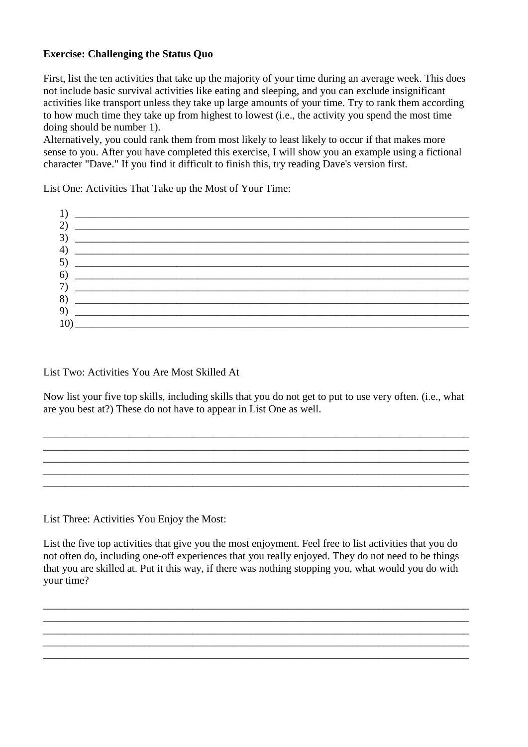## **Exercise: Challenging the Status Quo**

First, list the ten activities that take up the majority of your time during an average week. This does not include basic survival activities like eating and sleeping, and you can exclude insignificant activities like transport unless they take up large amounts of your time. Try to rank them according to how much time they take up from highest to lowest (i.e., the activity you spend the most time doing should be number 1).

Alternatively, you could rank them from most likely to least likely to occur if that makes more sense to you. After you have completed this exercise, I will show you an example using a fictional character "Dave." If you find it difficult to finish this, try reading Dave's version first.

List One: Activities That Take up the Most of Your Time:



List Two: Activities You Are Most Skilled At

Now list your five top skills, including skills that you do not get to put to use very often. (i.e., what are you best at?) These do not have to appear in List One as well.

\_\_\_\_\_\_\_\_\_\_\_\_\_\_\_\_\_\_\_\_\_\_\_\_\_\_\_\_\_\_\_\_\_\_\_\_\_\_\_\_\_\_\_\_\_\_\_\_\_\_\_\_\_\_\_\_\_\_\_\_\_\_\_\_\_\_\_\_\_\_\_\_\_\_\_\_\_\_\_\_ \_\_\_\_\_\_\_\_\_\_\_\_\_\_\_\_\_\_\_\_\_\_\_\_\_\_\_\_\_\_\_\_\_\_\_\_\_\_\_\_\_\_\_\_\_\_\_\_\_\_\_\_\_\_\_\_\_\_\_\_\_\_\_\_\_\_\_\_\_\_\_\_\_\_\_\_\_\_\_\_ \_\_\_\_\_\_\_\_\_\_\_\_\_\_\_\_\_\_\_\_\_\_\_\_\_\_\_\_\_\_\_\_\_\_\_\_\_\_\_\_\_\_\_\_\_\_\_\_\_\_\_\_\_\_\_\_\_\_\_\_\_\_\_\_\_\_\_\_\_\_\_\_\_\_\_\_\_\_\_\_ \_\_\_\_\_\_\_\_\_\_\_\_\_\_\_\_\_\_\_\_\_\_\_\_\_\_\_\_\_\_\_\_\_\_\_\_\_\_\_\_\_\_\_\_\_\_\_\_\_\_\_\_\_\_\_\_\_\_\_\_\_\_\_\_\_\_\_\_\_\_\_\_\_\_\_\_\_\_\_\_

List Three: Activities You Enjoy the Most:

List the five top activities that give you the most enjoyment. Feel free to list activities that you do not often do, including one-off experiences that you really enjoyed. They do not need to be things that you are skilled at. Put it this way, if there was nothing stopping you, what would you do with your time?

\_\_\_\_\_\_\_\_\_\_\_\_\_\_\_\_\_\_\_\_\_\_\_\_\_\_\_\_\_\_\_\_\_\_\_\_\_\_\_\_\_\_\_\_\_\_\_\_\_\_\_\_\_\_\_\_\_\_\_\_\_\_\_\_\_\_\_\_\_\_\_\_\_\_\_\_\_\_\_\_ \_\_\_\_\_\_\_\_\_\_\_\_\_\_\_\_\_\_\_\_\_\_\_\_\_\_\_\_\_\_\_\_\_\_\_\_\_\_\_\_\_\_\_\_\_\_\_\_\_\_\_\_\_\_\_\_\_\_\_\_\_\_\_\_\_\_\_\_\_\_\_\_\_\_\_\_\_\_\_\_ \_\_\_\_\_\_\_\_\_\_\_\_\_\_\_\_\_\_\_\_\_\_\_\_\_\_\_\_\_\_\_\_\_\_\_\_\_\_\_\_\_\_\_\_\_\_\_\_\_\_\_\_\_\_\_\_\_\_\_\_\_\_\_\_\_\_\_\_\_\_\_\_\_\_\_\_\_\_\_\_

\_\_\_\_\_\_\_\_\_\_\_\_\_\_\_\_\_\_\_\_\_\_\_\_\_\_\_\_\_\_\_\_\_\_\_\_\_\_\_\_\_\_\_\_\_\_\_\_\_\_\_\_\_\_\_\_\_\_\_\_\_\_\_\_\_\_\_\_\_\_\_\_\_\_\_\_\_\_\_\_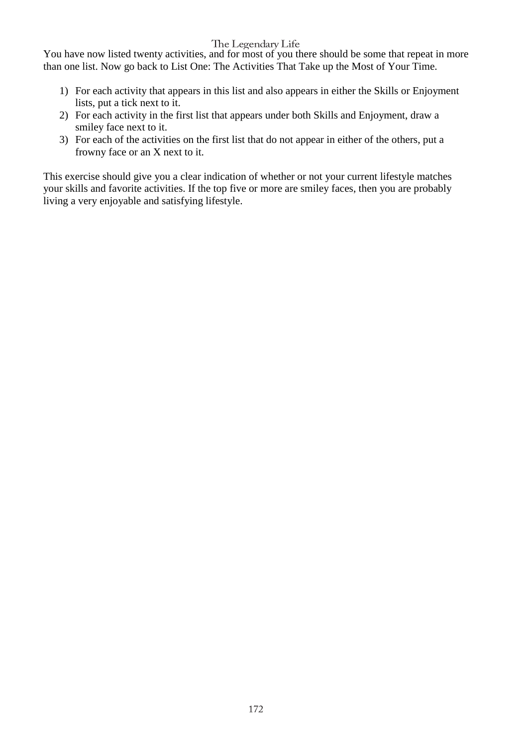You have now listed twenty activities, and for most of you there should be some that repeat in more than one list. Now go back to List One: The Activities That Take up the Most of Your Time.

- 1) For each activity that appears in this list and also appears in either the Skills or Enjoyment lists, put a tick next to it.
- 2) For each activity in the first list that appears under both Skills and Enjoyment, draw a smiley face next to it.
- 3) For each of the activities on the first list that do not appear in either of the others, put a frowny face or an X next to it.

This exercise should give you a clear indication of whether or not your current lifestyle matches your skills and favorite activities. If the top five or more are smiley faces, then you are probably living a very enjoyable and satisfying lifestyle.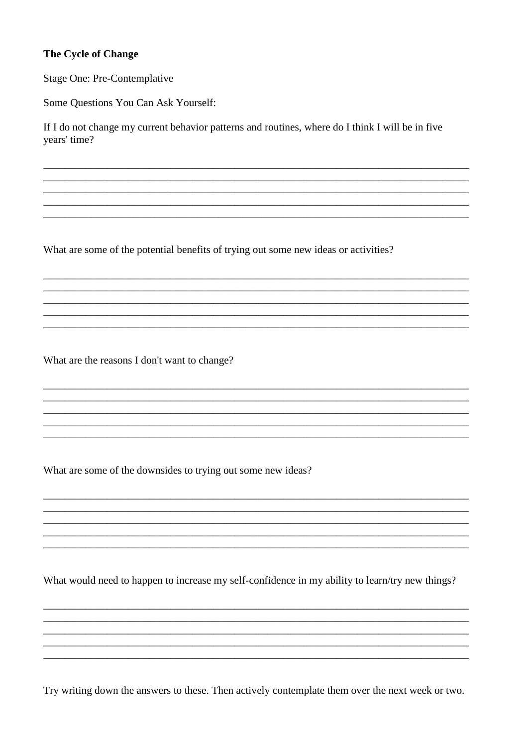## **The Cycle of Change**

**Stage One: Pre-Contemplative** 

Some Questions You Can Ask Yourself:

If I do not change my current behavior patterns and routines, where do I think I will be in five years' time?

What are some of the potential benefits of trying out some new ideas or activities?

What are the reasons I don't want to change?

What are some of the downsides to trying out some new ideas?

What would need to happen to increase my self-confidence in my ability to learn/try new things?

Try writing down the answers to these. Then actively contemplate them over the next week or two.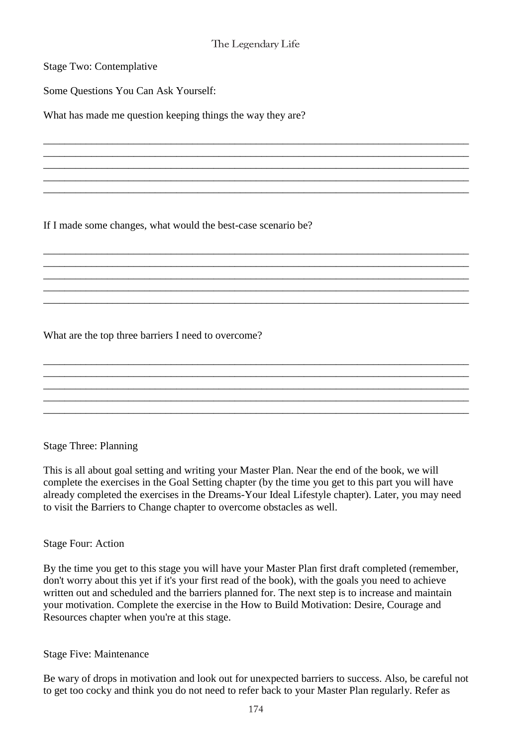\_\_\_\_\_\_\_\_\_\_\_\_\_\_\_\_\_\_\_\_\_\_\_\_\_\_\_\_\_\_\_\_\_\_\_\_\_\_\_\_\_\_\_\_\_\_\_\_\_\_\_\_\_\_\_\_\_\_\_\_\_\_\_\_\_\_\_\_\_\_\_\_\_\_\_\_\_\_\_\_ \_\_\_\_\_\_\_\_\_\_\_\_\_\_\_\_\_\_\_\_\_\_\_\_\_\_\_\_\_\_\_\_\_\_\_\_\_\_\_\_\_\_\_\_\_\_\_\_\_\_\_\_\_\_\_\_\_\_\_\_\_\_\_\_\_\_\_\_\_\_\_\_\_\_\_\_\_\_\_\_ \_\_\_\_\_\_\_\_\_\_\_\_\_\_\_\_\_\_\_\_\_\_\_\_\_\_\_\_\_\_\_\_\_\_\_\_\_\_\_\_\_\_\_\_\_\_\_\_\_\_\_\_\_\_\_\_\_\_\_\_\_\_\_\_\_\_\_\_\_\_\_\_\_\_\_\_\_\_\_\_ \_\_\_\_\_\_\_\_\_\_\_\_\_\_\_\_\_\_\_\_\_\_\_\_\_\_\_\_\_\_\_\_\_\_\_\_\_\_\_\_\_\_\_\_\_\_\_\_\_\_\_\_\_\_\_\_\_\_\_\_\_\_\_\_\_\_\_\_\_\_\_\_\_\_\_\_\_\_\_\_ \_\_\_\_\_\_\_\_\_\_\_\_\_\_\_\_\_\_\_\_\_\_\_\_\_\_\_\_\_\_\_\_\_\_\_\_\_\_\_\_\_\_\_\_\_\_\_\_\_\_\_\_\_\_\_\_\_\_\_\_\_\_\_\_\_\_\_\_\_\_\_\_\_\_\_\_\_\_\_\_

\_\_\_\_\_\_\_\_\_\_\_\_\_\_\_\_\_\_\_\_\_\_\_\_\_\_\_\_\_\_\_\_\_\_\_\_\_\_\_\_\_\_\_\_\_\_\_\_\_\_\_\_\_\_\_\_\_\_\_\_\_\_\_\_\_\_\_\_\_\_\_\_\_\_\_\_\_\_\_\_

\_\_\_\_\_\_\_\_\_\_\_\_\_\_\_\_\_\_\_\_\_\_\_\_\_\_\_\_\_\_\_\_\_\_\_\_\_\_\_\_\_\_\_\_\_\_\_\_\_\_\_\_\_\_\_\_\_\_\_\_\_\_\_\_\_\_\_\_\_\_\_\_\_\_\_\_\_\_\_\_ \_\_\_\_\_\_\_\_\_\_\_\_\_\_\_\_\_\_\_\_\_\_\_\_\_\_\_\_\_\_\_\_\_\_\_\_\_\_\_\_\_\_\_\_\_\_\_\_\_\_\_\_\_\_\_\_\_\_\_\_\_\_\_\_\_\_\_\_\_\_\_\_\_\_\_\_\_\_\_\_ \_\_\_\_\_\_\_\_\_\_\_\_\_\_\_\_\_\_\_\_\_\_\_\_\_\_\_\_\_\_\_\_\_\_\_\_\_\_\_\_\_\_\_\_\_\_\_\_\_\_\_\_\_\_\_\_\_\_\_\_\_\_\_\_\_\_\_\_\_\_\_\_\_\_\_\_\_\_\_\_

\_\_\_\_\_\_\_\_\_\_\_\_\_\_\_\_\_\_\_\_\_\_\_\_\_\_\_\_\_\_\_\_\_\_\_\_\_\_\_\_\_\_\_\_\_\_\_\_\_\_\_\_\_\_\_\_\_\_\_\_\_\_\_\_\_\_\_\_\_\_\_\_\_\_\_\_\_\_\_\_

\_\_\_\_\_\_\_\_\_\_\_\_\_\_\_\_\_\_\_\_\_\_\_\_\_\_\_\_\_\_\_\_\_\_\_\_\_\_\_\_\_\_\_\_\_\_\_\_\_\_\_\_\_\_\_\_\_\_\_\_\_\_\_\_\_\_\_\_\_\_\_\_\_\_\_\_\_\_\_\_ \_\_\_\_\_\_\_\_\_\_\_\_\_\_\_\_\_\_\_\_\_\_\_\_\_\_\_\_\_\_\_\_\_\_\_\_\_\_\_\_\_\_\_\_\_\_\_\_\_\_\_\_\_\_\_\_\_\_\_\_\_\_\_\_\_\_\_\_\_\_\_\_\_\_\_\_\_\_\_\_ \_\_\_\_\_\_\_\_\_\_\_\_\_\_\_\_\_\_\_\_\_\_\_\_\_\_\_\_\_\_\_\_\_\_\_\_\_\_\_\_\_\_\_\_\_\_\_\_\_\_\_\_\_\_\_\_\_\_\_\_\_\_\_\_\_\_\_\_\_\_\_\_\_\_\_\_\_\_\_\_

Stage Two: Contemplative

Some Questions You Can Ask Yourself:

What has made me question keeping things the way they are?

If I made some changes, what would the best-case scenario be?

What are the top three barriers I need to overcome?

## Stage Three: Planning

This is all about goal setting and writing your Master Plan. Near the end of the book, we will complete the exercises in the Goal Setting chapter (by the time you get to this part you will have already completed the exercises in the Dreams-Your Ideal Lifestyle chapter). Later, you may need to visit the Barriers to Change chapter to overcome obstacles as well.

## Stage Four: Action

By the time you get to this stage you will have your Master Plan first draft completed (remember, don't worry about this yet if it's your first read of the book), with the goals you need to achieve written out and scheduled and the barriers planned for. The next step is to increase and maintain your motivation. Complete the exercise in the How to Build Motivation: Desire, Courage and Resources chapter when you're at this stage.

## Stage Five: Maintenance

Be wary of drops in motivation and look out for unexpected barriers to success. Also, be careful not to get too cocky and think you do not need to refer back to your Master Plan regularly. Refer as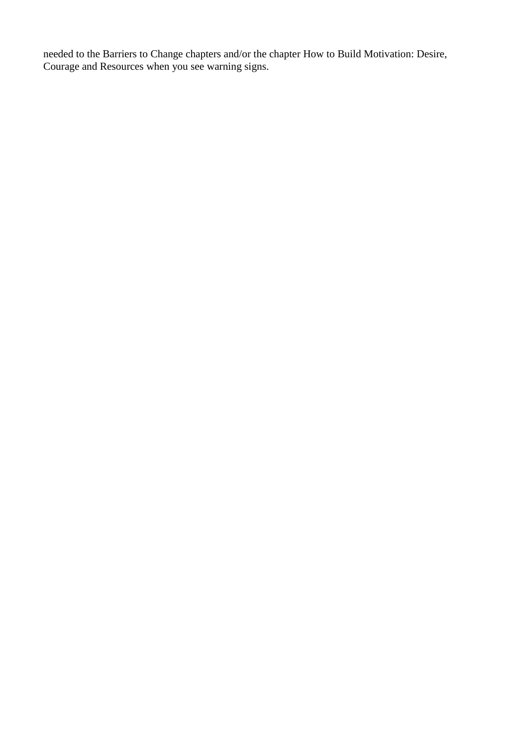needed to the Barriers to Change chapters and/or the chapter How to Build Motivation: Desire, Courage and Resources when you see warning signs.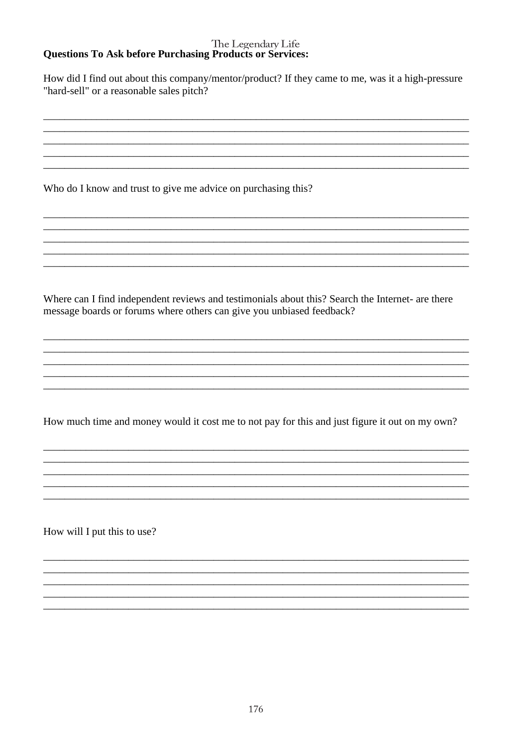#### The Legendary Life **Questions To Ask before Purchasing Products or Services:**

How did I find out about this company/mentor/product? If they came to me, was it a high-pressure "hard-sell" or a reasonable sales pitch?

Who do I know and trust to give me advice on purchasing this?

Where can I find independent reviews and testimonials about this? Search the Internet- are there message boards or forums where others can give you unbiased feedback?

How much time and money would it cost me to not pay for this and just figure it out on my own?

How will I put this to use?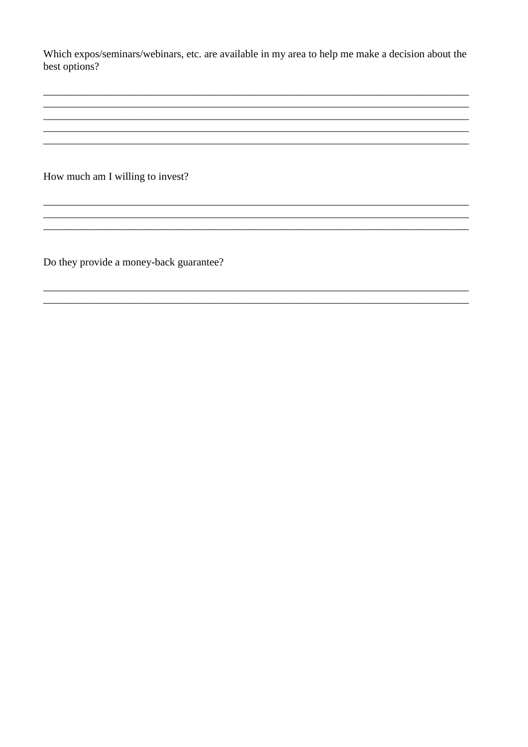Which expos/seminars/webinars, etc. are available in my area to help me make a decision about the best options?

How much am I willing to invest?

Do they provide a money-back guarantee?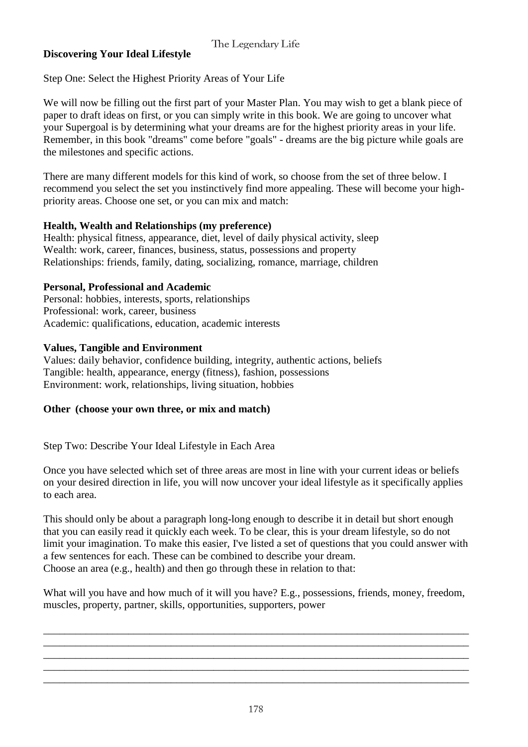## **Discovering Your Ideal Lifestyle**

Step One: Select the Highest Priority Areas of Your Life

We will now be filling out the first part of your Master Plan. You may wish to get a blank piece of paper to draft ideas on first, or you can simply write in this book. We are going to uncover what your Supergoal is by determining what your dreams are for the highest priority areas in your life. Remember, in this book "dreams" come before "goals" - dreams are the big picture while goals are the milestones and specific actions.

There are many different models for this kind of work, so choose from the set of three below. I recommend you select the set you instinctively find more appealing. These will become your highpriority areas. Choose one set, or you can mix and match:

## **Health, Wealth and Relationships (my preference)**

Health: physical fitness, appearance, diet, level of daily physical activity, sleep Wealth: work, career, finances, business, status, possessions and property Relationships: friends, family, dating, socializing, romance, marriage, children

## **Personal, Professional and Academic**

Personal: hobbies, interests, sports, relationships Professional: work, career, business Academic: qualifications, education, academic interests

## **Values, Tangible and Environment**

Values: daily behavior, confidence building, integrity, authentic actions, beliefs Tangible: health, appearance, energy (fitness), fashion, possessions Environment: work, relationships, living situation, hobbies

## **Other (choose your own three, or mix and match)**

Step Two: Describe Your Ideal Lifestyle in Each Area

Once you have selected which set of three areas are most in line with your current ideas or beliefs on your desired direction in life, you will now uncover your ideal lifestyle as it specifically applies to each area.

This should only be about a paragraph long-long enough to describe it in detail but short enough that you can easily read it quickly each week. To be clear, this is your dream lifestyle, so do not limit your imagination. To make this easier, I've listed a set of questions that you could answer with a few sentences for each. These can be combined to describe your dream. Choose an area (e.g., health) and then go through these in relation to that:

What will you have and how much of it will you have? E.g., possessions, friends, money, freedom, muscles, property, partner, skills, opportunities, supporters, power

\_\_\_\_\_\_\_\_\_\_\_\_\_\_\_\_\_\_\_\_\_\_\_\_\_\_\_\_\_\_\_\_\_\_\_\_\_\_\_\_\_\_\_\_\_\_\_\_\_\_\_\_\_\_\_\_\_\_\_\_\_\_\_\_\_\_\_\_\_\_\_\_\_\_\_\_\_\_\_\_ \_\_\_\_\_\_\_\_\_\_\_\_\_\_\_\_\_\_\_\_\_\_\_\_\_\_\_\_\_\_\_\_\_\_\_\_\_\_\_\_\_\_\_\_\_\_\_\_\_\_\_\_\_\_\_\_\_\_\_\_\_\_\_\_\_\_\_\_\_\_\_\_\_\_\_\_\_\_\_\_ \_\_\_\_\_\_\_\_\_\_\_\_\_\_\_\_\_\_\_\_\_\_\_\_\_\_\_\_\_\_\_\_\_\_\_\_\_\_\_\_\_\_\_\_\_\_\_\_\_\_\_\_\_\_\_\_\_\_\_\_\_\_\_\_\_\_\_\_\_\_\_\_\_\_\_\_\_\_\_\_ \_\_\_\_\_\_\_\_\_\_\_\_\_\_\_\_\_\_\_\_\_\_\_\_\_\_\_\_\_\_\_\_\_\_\_\_\_\_\_\_\_\_\_\_\_\_\_\_\_\_\_\_\_\_\_\_\_\_\_\_\_\_\_\_\_\_\_\_\_\_\_\_\_\_\_\_\_\_\_\_ \_\_\_\_\_\_\_\_\_\_\_\_\_\_\_\_\_\_\_\_\_\_\_\_\_\_\_\_\_\_\_\_\_\_\_\_\_\_\_\_\_\_\_\_\_\_\_\_\_\_\_\_\_\_\_\_\_\_\_\_\_\_\_\_\_\_\_\_\_\_\_\_\_\_\_\_\_\_\_\_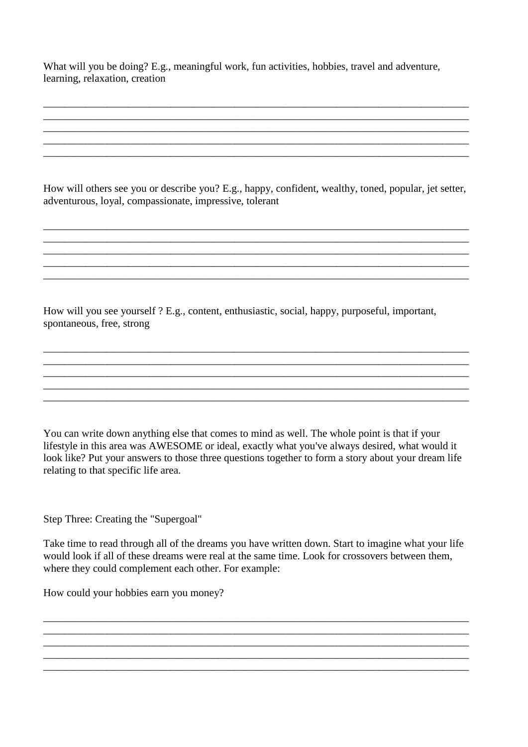What will you be doing? E.g., meaningful work, fun activities, hobbies, travel and adventure, learning, relaxation, creation

How will others see you or describe you? E.g., happy, confident, wealthy, toned, popular, jet setter, adventurous, loyal, compassionate, impressive, tolerant

\_\_\_\_\_\_\_\_\_\_\_\_\_\_\_\_\_\_\_\_\_\_\_\_\_\_\_\_\_\_\_\_\_\_\_\_\_\_\_\_\_\_\_\_\_\_\_\_\_\_\_\_\_\_\_\_\_\_\_\_\_\_\_\_\_\_\_\_\_\_\_\_\_\_\_\_\_\_\_\_ \_\_\_\_\_\_\_\_\_\_\_\_\_\_\_\_\_\_\_\_\_\_\_\_\_\_\_\_\_\_\_\_\_\_\_\_\_\_\_\_\_\_\_\_\_\_\_\_\_\_\_\_\_\_\_\_\_\_\_\_\_\_\_\_\_\_\_\_\_\_\_\_\_\_\_\_\_\_\_\_

\_\_\_\_\_\_\_\_\_\_\_\_\_\_\_\_\_\_\_\_\_\_\_\_\_\_\_\_\_\_\_\_\_\_\_\_\_\_\_\_\_\_\_\_\_\_\_\_\_\_\_\_\_\_\_\_\_\_\_\_\_\_\_\_\_\_\_\_\_\_\_\_\_\_\_\_\_\_\_\_

\_\_\_\_\_\_\_\_\_\_\_\_\_\_\_\_\_\_\_\_\_\_\_\_\_\_\_\_\_\_\_\_\_\_\_\_\_\_\_\_\_\_\_\_\_\_\_\_\_\_\_\_\_\_\_\_\_\_\_\_\_\_\_\_\_\_\_\_\_\_\_\_\_\_\_\_\_\_\_\_ \_\_\_\_\_\_\_\_\_\_\_\_\_\_\_\_\_\_\_\_\_\_\_\_\_\_\_\_\_\_\_\_\_\_\_\_\_\_\_\_\_\_\_\_\_\_\_\_\_\_\_\_\_\_\_\_\_\_\_\_\_\_\_\_\_\_\_\_\_\_\_\_\_\_\_\_\_\_\_\_

\_\_\_\_\_\_\_\_\_\_\_\_\_\_\_\_\_\_\_\_\_\_\_\_\_\_\_\_\_\_\_\_\_\_\_\_\_\_\_\_\_\_\_\_\_\_\_\_\_\_\_\_\_\_\_\_\_\_\_\_\_\_\_\_\_\_\_\_\_\_\_\_\_\_\_\_\_\_\_\_ \_\_\_\_\_\_\_\_\_\_\_\_\_\_\_\_\_\_\_\_\_\_\_\_\_\_\_\_\_\_\_\_\_\_\_\_\_\_\_\_\_\_\_\_\_\_\_\_\_\_\_\_\_\_\_\_\_\_\_\_\_\_\_\_\_\_\_\_\_\_\_\_\_\_\_\_\_\_\_\_

\_\_\_\_\_\_\_\_\_\_\_\_\_\_\_\_\_\_\_\_\_\_\_\_\_\_\_\_\_\_\_\_\_\_\_\_\_\_\_\_\_\_\_\_\_\_\_\_\_\_\_\_\_\_\_\_\_\_\_\_\_\_\_\_\_\_\_\_\_\_\_\_\_\_\_\_\_\_\_\_ \_\_\_\_\_\_\_\_\_\_\_\_\_\_\_\_\_\_\_\_\_\_\_\_\_\_\_\_\_\_\_\_\_\_\_\_\_\_\_\_\_\_\_\_\_\_\_\_\_\_\_\_\_\_\_\_\_\_\_\_\_\_\_\_\_\_\_\_\_\_\_\_\_\_\_\_\_\_\_\_

\_\_\_\_\_\_\_\_\_\_\_\_\_\_\_\_\_\_\_\_\_\_\_\_\_\_\_\_\_\_\_\_\_\_\_\_\_\_\_\_\_\_\_\_\_\_\_\_\_\_\_\_\_\_\_\_\_\_\_\_\_\_\_\_\_\_\_\_\_\_\_\_\_\_\_\_\_\_\_\_ \_\_\_\_\_\_\_\_\_\_\_\_\_\_\_\_\_\_\_\_\_\_\_\_\_\_\_\_\_\_\_\_\_\_\_\_\_\_\_\_\_\_\_\_\_\_\_\_\_\_\_\_\_\_\_\_\_\_\_\_\_\_\_\_\_\_\_\_\_\_\_\_\_\_\_\_\_\_\_\_

How will you see yourself ? E.g., content, enthusiastic, social, happy, purposeful, important, spontaneous, free, strong

You can write down anything else that comes to mind as well. The whole point is that if your lifestyle in this area was AWESOME or ideal, exactly what you've always desired, what would it look like? Put your answers to those three questions together to form a story about your dream life relating to that specific life area.

Step Three: Creating the "Supergoal"

Take time to read through all of the dreams you have written down. Start to imagine what your life would look if all of these dreams were real at the same time. Look for crossovers between them, where they could complement each other. For example:

\_\_\_\_\_\_\_\_\_\_\_\_\_\_\_\_\_\_\_\_\_\_\_\_\_\_\_\_\_\_\_\_\_\_\_\_\_\_\_\_\_\_\_\_\_\_\_\_\_\_\_\_\_\_\_\_\_\_\_\_\_\_\_\_\_\_\_\_\_\_\_\_\_\_\_\_\_\_\_\_ \_\_\_\_\_\_\_\_\_\_\_\_\_\_\_\_\_\_\_\_\_\_\_\_\_\_\_\_\_\_\_\_\_\_\_\_\_\_\_\_\_\_\_\_\_\_\_\_\_\_\_\_\_\_\_\_\_\_\_\_\_\_\_\_\_\_\_\_\_\_\_\_\_\_\_\_\_\_\_\_

\_\_\_\_\_\_\_\_\_\_\_\_\_\_\_\_\_\_\_\_\_\_\_\_\_\_\_\_\_\_\_\_\_\_\_\_\_\_\_\_\_\_\_\_\_\_\_\_\_\_\_\_\_\_\_\_\_\_\_\_\_\_\_\_\_\_\_\_\_\_\_\_\_\_\_\_\_\_\_\_ \_\_\_\_\_\_\_\_\_\_\_\_\_\_\_\_\_\_\_\_\_\_\_\_\_\_\_\_\_\_\_\_\_\_\_\_\_\_\_\_\_\_\_\_\_\_\_\_\_\_\_\_\_\_\_\_\_\_\_\_\_\_\_\_\_\_\_\_\_\_\_\_\_\_\_\_\_\_\_\_

How could your hobbies earn you money?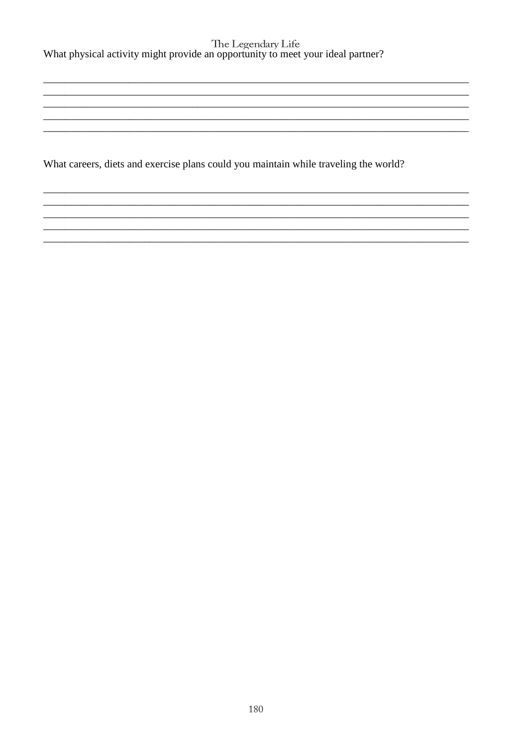What careers, diets and exercise plans could you maintain while traveling the world?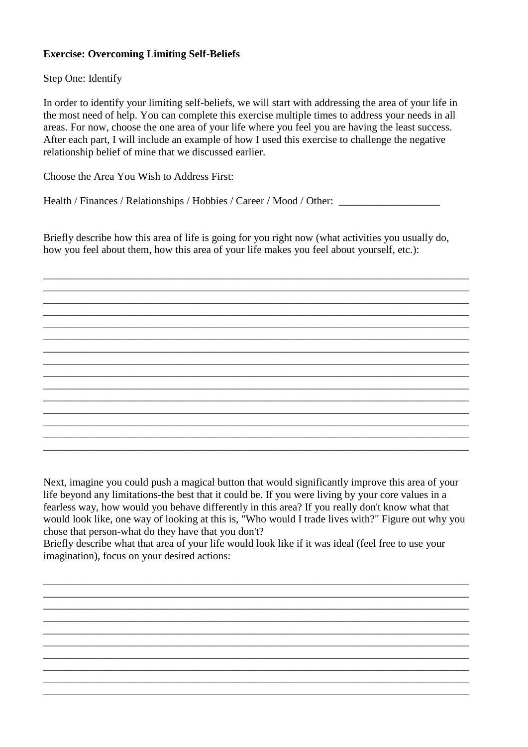## **Exercise: Overcoming Limiting Self-Beliefs**

Step One: Identify

In order to identify your limiting self-beliefs, we will start with addressing the area of your life in the most need of help. You can complete this exercise multiple times to address your needs in all areas. For now, choose the one area of your life where you feel you are having the least success. After each part, I will include an example of how I used this exercise to challenge the negative relationship belief of mine that we discussed earlier.

Choose the Area You Wish to Address First:

Health / Finances / Relationships / Hobbies / Career / Mood / Other: \_\_\_\_\_\_\_\_\_\_\_

Briefly describe how this area of life is going for you right now (what activities you usually do, how you feel about them, how this area of your life makes you feel about yourself, etc.):

\_\_\_\_\_\_\_\_\_\_\_\_\_\_\_\_\_\_\_\_\_\_\_\_\_\_\_\_\_\_\_\_\_\_\_\_\_\_\_\_\_\_\_\_\_\_\_\_\_\_\_\_\_\_\_\_\_\_\_\_\_\_\_\_\_\_\_\_\_\_\_\_\_\_\_\_\_\_\_\_ \_\_\_\_\_\_\_\_\_\_\_\_\_\_\_\_\_\_\_\_\_\_\_\_\_\_\_\_\_\_\_\_\_\_\_\_\_\_\_\_\_\_\_\_\_\_\_\_\_\_\_\_\_\_\_\_\_\_\_\_\_\_\_\_\_\_\_\_\_\_\_\_\_\_\_\_\_\_\_\_ \_\_\_\_\_\_\_\_\_\_\_\_\_\_\_\_\_\_\_\_\_\_\_\_\_\_\_\_\_\_\_\_\_\_\_\_\_\_\_\_\_\_\_\_\_\_\_\_\_\_\_\_\_\_\_\_\_\_\_\_\_\_\_\_\_\_\_\_\_\_\_\_\_\_\_\_\_\_\_\_

\_\_\_\_\_\_\_\_\_\_\_\_\_\_\_\_\_\_\_\_\_\_\_\_\_\_\_\_\_\_\_\_\_\_\_\_\_\_\_\_\_\_\_\_\_\_\_\_\_\_\_\_\_\_\_\_\_\_\_\_\_\_\_\_\_\_\_\_\_\_\_\_\_\_\_\_\_\_\_\_ \_\_\_\_\_\_\_\_\_\_\_\_\_\_\_\_\_\_\_\_\_\_\_\_\_\_\_\_\_\_\_\_\_\_\_\_\_\_\_\_\_\_\_\_\_\_\_\_\_\_\_\_\_\_\_\_\_\_\_\_\_\_\_\_\_\_\_\_\_\_\_\_\_\_\_\_\_\_\_\_ \_\_\_\_\_\_\_\_\_\_\_\_\_\_\_\_\_\_\_\_\_\_\_\_\_\_\_\_\_\_\_\_\_\_\_\_\_\_\_\_\_\_\_\_\_\_\_\_\_\_\_\_\_\_\_\_\_\_\_\_\_\_\_\_\_\_\_\_\_\_\_\_\_\_\_\_\_\_\_\_ \_\_\_\_\_\_\_\_\_\_\_\_\_\_\_\_\_\_\_\_\_\_\_\_\_\_\_\_\_\_\_\_\_\_\_\_\_\_\_\_\_\_\_\_\_\_\_\_\_\_\_\_\_\_\_\_\_\_\_\_\_\_\_\_\_\_\_\_\_\_\_\_\_\_\_\_\_\_\_\_

\_\_\_\_\_\_\_\_\_\_\_\_\_\_\_\_\_\_\_\_\_\_\_\_\_\_\_\_\_\_\_\_\_\_\_\_\_\_\_\_\_\_\_\_\_\_\_\_\_\_\_\_\_\_\_\_\_\_\_\_\_\_\_\_\_\_\_\_\_\_\_\_\_\_\_\_\_\_\_\_ \_\_\_\_\_\_\_\_\_\_\_\_\_\_\_\_\_\_\_\_\_\_\_\_\_\_\_\_\_\_\_\_\_\_\_\_\_\_\_\_\_\_\_\_\_\_\_\_\_\_\_\_\_\_\_\_\_\_\_\_\_\_\_\_\_\_\_\_\_\_\_\_\_\_\_\_\_\_\_\_

\_\_\_\_\_\_\_\_\_\_\_\_\_\_\_\_\_\_\_\_\_\_\_\_\_\_\_\_\_\_\_\_\_\_\_\_\_\_\_\_\_\_\_\_\_\_\_\_\_\_\_\_\_\_\_\_\_\_\_\_\_\_\_\_\_\_\_\_\_\_\_\_\_\_\_\_\_\_\_\_ \_\_\_\_\_\_\_\_\_\_\_\_\_\_\_\_\_\_\_\_\_\_\_\_\_\_\_\_\_\_\_\_\_\_\_\_\_\_\_\_\_\_\_\_\_\_\_\_\_\_\_\_\_\_\_\_\_\_\_\_\_\_\_\_\_\_\_\_\_\_\_\_\_\_\_\_\_\_\_\_ \_\_\_\_\_\_\_\_\_\_\_\_\_\_\_\_\_\_\_\_\_\_\_\_\_\_\_\_\_\_\_\_\_\_\_\_\_\_\_\_\_\_\_\_\_\_\_\_\_\_\_\_\_\_\_\_\_\_\_\_\_\_\_\_\_\_\_\_\_\_\_\_\_\_\_\_\_\_\_\_

Next, imagine you could push a magical button that would significantly improve this area of your life beyond any limitations-the best that it could be. If you were living by your core values in a fearless way, how would you behave differently in this area? If you really don't know what that would look like, one way of looking at this is, "Who would I trade lives with?" Figure out why you chose that person-what do they have that you don't?

\_\_\_\_\_\_\_\_\_\_\_\_\_\_\_\_\_\_\_\_\_\_\_\_\_\_\_\_\_\_\_\_\_\_\_\_\_\_\_\_\_\_\_\_\_\_\_\_\_\_\_\_\_\_\_\_\_\_\_\_\_\_\_\_\_\_\_\_\_\_\_\_\_\_\_\_\_\_\_\_ \_\_\_\_\_\_\_\_\_\_\_\_\_\_\_\_\_\_\_\_\_\_\_\_\_\_\_\_\_\_\_\_\_\_\_\_\_\_\_\_\_\_\_\_\_\_\_\_\_\_\_\_\_\_\_\_\_\_\_\_\_\_\_\_\_\_\_\_\_\_\_\_\_\_\_\_\_\_\_\_ \_\_\_\_\_\_\_\_\_\_\_\_\_\_\_\_\_\_\_\_\_\_\_\_\_\_\_\_\_\_\_\_\_\_\_\_\_\_\_\_\_\_\_\_\_\_\_\_\_\_\_\_\_\_\_\_\_\_\_\_\_\_\_\_\_\_\_\_\_\_\_\_\_\_\_\_\_\_\_\_ \_\_\_\_\_\_\_\_\_\_\_\_\_\_\_\_\_\_\_\_\_\_\_\_\_\_\_\_\_\_\_\_\_\_\_\_\_\_\_\_\_\_\_\_\_\_\_\_\_\_\_\_\_\_\_\_\_\_\_\_\_\_\_\_\_\_\_\_\_\_\_\_\_\_\_\_\_\_\_\_ \_\_\_\_\_\_\_\_\_\_\_\_\_\_\_\_\_\_\_\_\_\_\_\_\_\_\_\_\_\_\_\_\_\_\_\_\_\_\_\_\_\_\_\_\_\_\_\_\_\_\_\_\_\_\_\_\_\_\_\_\_\_\_\_\_\_\_\_\_\_\_\_\_\_\_\_\_\_\_\_ \_\_\_\_\_\_\_\_\_\_\_\_\_\_\_\_\_\_\_\_\_\_\_\_\_\_\_\_\_\_\_\_\_\_\_\_\_\_\_\_\_\_\_\_\_\_\_\_\_\_\_\_\_\_\_\_\_\_\_\_\_\_\_\_\_\_\_\_\_\_\_\_\_\_\_\_\_\_\_\_ \_\_\_\_\_\_\_\_\_\_\_\_\_\_\_\_\_\_\_\_\_\_\_\_\_\_\_\_\_\_\_\_\_\_\_\_\_\_\_\_\_\_\_\_\_\_\_\_\_\_\_\_\_\_\_\_\_\_\_\_\_\_\_\_\_\_\_\_\_\_\_\_\_\_\_\_\_\_\_\_ \_\_\_\_\_\_\_\_\_\_\_\_\_\_\_\_\_\_\_\_\_\_\_\_\_\_\_\_\_\_\_\_\_\_\_\_\_\_\_\_\_\_\_\_\_\_\_\_\_\_\_\_\_\_\_\_\_\_\_\_\_\_\_\_\_\_\_\_\_\_\_\_\_\_\_\_\_\_\_\_ \_\_\_\_\_\_\_\_\_\_\_\_\_\_\_\_\_\_\_\_\_\_\_\_\_\_\_\_\_\_\_\_\_\_\_\_\_\_\_\_\_\_\_\_\_\_\_\_\_\_\_\_\_\_\_\_\_\_\_\_\_\_\_\_\_\_\_\_\_\_\_\_\_\_\_\_\_\_\_\_ \_\_\_\_\_\_\_\_\_\_\_\_\_\_\_\_\_\_\_\_\_\_\_\_\_\_\_\_\_\_\_\_\_\_\_\_\_\_\_\_\_\_\_\_\_\_\_\_\_\_\_\_\_\_\_\_\_\_\_\_\_\_\_\_\_\_\_\_\_\_\_\_\_\_\_\_\_\_\_\_

Briefly describe what that area of your life would look like if it was ideal (feel free to use your imagination), focus on your desired actions: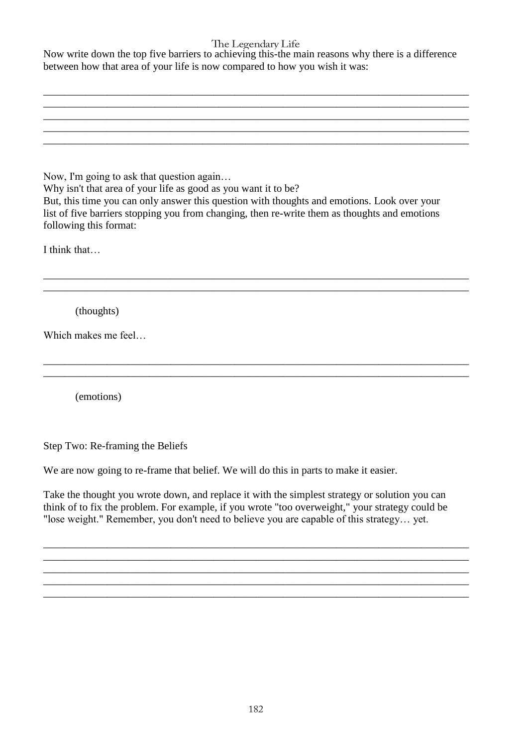Now write down the top five barriers to achieving this-the main reasons why there is a difference between how that area of your life is now compared to how you wish it was:

| Now, I'm going to ask that question again                                                     |  |
|-----------------------------------------------------------------------------------------------|--|
| Why isn't that area of your life as good as you want it to be?                                |  |
| But, this time you can only answer this question with thoughts and emotions. Look over your   |  |
| list of five barriers stopping you from changing, then re-write them as thoughts and emotions |  |
| following this format:                                                                        |  |
|                                                                                               |  |
| I think that                                                                                  |  |
|                                                                                               |  |
|                                                                                               |  |
|                                                                                               |  |
| (thoughts)                                                                                    |  |
|                                                                                               |  |
| Which makes me feel                                                                           |  |
|                                                                                               |  |
|                                                                                               |  |
|                                                                                               |  |
| (emotions)                                                                                    |  |
|                                                                                               |  |
|                                                                                               |  |

Step Two: Re-framing the Beliefs

We are now going to re-frame that belief. We will do this in parts to make it easier.

Take the thought you wrote down, and replace it with the simplest strategy or solution you can think of to fix the problem. For example, if you wrote "too overweight," your strategy could be "lose weight." Remember, you don't need to believe you are capable of this strategy… yet.

\_\_\_\_\_\_\_\_\_\_\_\_\_\_\_\_\_\_\_\_\_\_\_\_\_\_\_\_\_\_\_\_\_\_\_\_\_\_\_\_\_\_\_\_\_\_\_\_\_\_\_\_\_\_\_\_\_\_\_\_\_\_\_\_\_\_\_\_\_\_\_\_\_\_\_\_\_\_\_\_ \_\_\_\_\_\_\_\_\_\_\_\_\_\_\_\_\_\_\_\_\_\_\_\_\_\_\_\_\_\_\_\_\_\_\_\_\_\_\_\_\_\_\_\_\_\_\_\_\_\_\_\_\_\_\_\_\_\_\_\_\_\_\_\_\_\_\_\_\_\_\_\_\_\_\_\_\_\_\_\_ \_\_\_\_\_\_\_\_\_\_\_\_\_\_\_\_\_\_\_\_\_\_\_\_\_\_\_\_\_\_\_\_\_\_\_\_\_\_\_\_\_\_\_\_\_\_\_\_\_\_\_\_\_\_\_\_\_\_\_\_\_\_\_\_\_\_\_\_\_\_\_\_\_\_\_\_\_\_\_\_

\_\_\_\_\_\_\_\_\_\_\_\_\_\_\_\_\_\_\_\_\_\_\_\_\_\_\_\_\_\_\_\_\_\_\_\_\_\_\_\_\_\_\_\_\_\_\_\_\_\_\_\_\_\_\_\_\_\_\_\_\_\_\_\_\_\_\_\_\_\_\_\_\_\_\_\_\_\_\_\_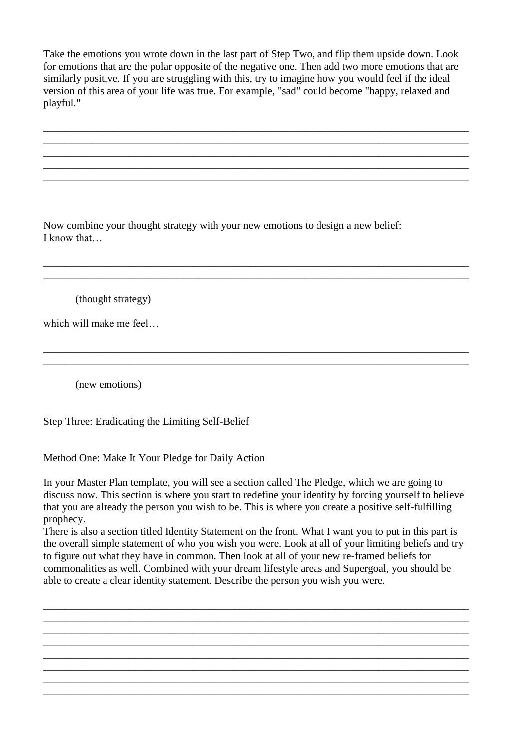Take the emotions you wrote down in the last part of Step Two, and flip them upside down. Look for emotions that are the polar opposite of the negative one. Then add two more emotions that are similarly positive. If you are struggling with this, try to imagine how you would feel if the ideal version of this area of your life was true. For example, "sad" could become "happy, relaxed and playful."

\_\_\_\_\_\_\_\_\_\_\_\_\_\_\_\_\_\_\_\_\_\_\_\_\_\_\_\_\_\_\_\_\_\_\_\_\_\_\_\_\_\_\_\_\_\_\_\_\_\_\_\_\_\_\_\_\_\_\_\_\_\_\_\_\_\_\_\_\_\_\_\_\_\_\_\_\_\_\_\_ \_\_\_\_\_\_\_\_\_\_\_\_\_\_\_\_\_\_\_\_\_\_\_\_\_\_\_\_\_\_\_\_\_\_\_\_\_\_\_\_\_\_\_\_\_\_\_\_\_\_\_\_\_\_\_\_\_\_\_\_\_\_\_\_\_\_\_\_\_\_\_\_\_\_\_\_\_\_\_\_ \_\_\_\_\_\_\_\_\_\_\_\_\_\_\_\_\_\_\_\_\_\_\_\_\_\_\_\_\_\_\_\_\_\_\_\_\_\_\_\_\_\_\_\_\_\_\_\_\_\_\_\_\_\_\_\_\_\_\_\_\_\_\_\_\_\_\_\_\_\_\_\_\_\_\_\_\_\_\_\_ \_\_\_\_\_\_\_\_\_\_\_\_\_\_\_\_\_\_\_\_\_\_\_\_\_\_\_\_\_\_\_\_\_\_\_\_\_\_\_\_\_\_\_\_\_\_\_\_\_\_\_\_\_\_\_\_\_\_\_\_\_\_\_\_\_\_\_\_\_\_\_\_\_\_\_\_\_\_\_\_ \_\_\_\_\_\_\_\_\_\_\_\_\_\_\_\_\_\_\_\_\_\_\_\_\_\_\_\_\_\_\_\_\_\_\_\_\_\_\_\_\_\_\_\_\_\_\_\_\_\_\_\_\_\_\_\_\_\_\_\_\_\_\_\_\_\_\_\_\_\_\_\_\_\_\_\_\_\_\_\_

\_\_\_\_\_\_\_\_\_\_\_\_\_\_\_\_\_\_\_\_\_\_\_\_\_\_\_\_\_\_\_\_\_\_\_\_\_\_\_\_\_\_\_\_\_\_\_\_\_\_\_\_\_\_\_\_\_\_\_\_\_\_\_\_\_\_\_\_\_\_\_\_\_\_\_\_\_\_\_\_ \_\_\_\_\_\_\_\_\_\_\_\_\_\_\_\_\_\_\_\_\_\_\_\_\_\_\_\_\_\_\_\_\_\_\_\_\_\_\_\_\_\_\_\_\_\_\_\_\_\_\_\_\_\_\_\_\_\_\_\_\_\_\_\_\_\_\_\_\_\_\_\_\_\_\_\_\_\_\_\_

\_\_\_\_\_\_\_\_\_\_\_\_\_\_\_\_\_\_\_\_\_\_\_\_\_\_\_\_\_\_\_\_\_\_\_\_\_\_\_\_\_\_\_\_\_\_\_\_\_\_\_\_\_\_\_\_\_\_\_\_\_\_\_\_\_\_\_\_\_\_\_\_\_\_\_\_\_\_\_\_ \_\_\_\_\_\_\_\_\_\_\_\_\_\_\_\_\_\_\_\_\_\_\_\_\_\_\_\_\_\_\_\_\_\_\_\_\_\_\_\_\_\_\_\_\_\_\_\_\_\_\_\_\_\_\_\_\_\_\_\_\_\_\_\_\_\_\_\_\_\_\_\_\_\_\_\_\_\_\_\_

Now combine your thought strategy with your new emotions to design a new belief: I know that…

(thought strategy)

which will make me feel…

(new emotions)

Step Three: Eradicating the Limiting Self-Belief

Method One: Make It Your Pledge for Daily Action

In your Master Plan template, you will see a section called The Pledge, which we are going to discuss now. This section is where you start to redefine your identity by forcing yourself to believe that you are already the person you wish to be. This is where you create a positive self-fulfilling prophecy.

There is also a section titled Identity Statement on the front. What I want you to put in this part is the overall simple statement of who you wish you were. Look at all of your limiting beliefs and try to figure out what they have in common. Then look at all of your new re-framed beliefs for commonalities as well. Combined with your dream lifestyle areas and Supergoal, you should be able to create a clear identity statement. Describe the person you wish you were.

\_\_\_\_\_\_\_\_\_\_\_\_\_\_\_\_\_\_\_\_\_\_\_\_\_\_\_\_\_\_\_\_\_\_\_\_\_\_\_\_\_\_\_\_\_\_\_\_\_\_\_\_\_\_\_\_\_\_\_\_\_\_\_\_\_\_\_\_\_\_\_\_\_\_\_\_\_\_\_\_ \_\_\_\_\_\_\_\_\_\_\_\_\_\_\_\_\_\_\_\_\_\_\_\_\_\_\_\_\_\_\_\_\_\_\_\_\_\_\_\_\_\_\_\_\_\_\_\_\_\_\_\_\_\_\_\_\_\_\_\_\_\_\_\_\_\_\_\_\_\_\_\_\_\_\_\_\_\_\_\_ \_\_\_\_\_\_\_\_\_\_\_\_\_\_\_\_\_\_\_\_\_\_\_\_\_\_\_\_\_\_\_\_\_\_\_\_\_\_\_\_\_\_\_\_\_\_\_\_\_\_\_\_\_\_\_\_\_\_\_\_\_\_\_\_\_\_\_\_\_\_\_\_\_\_\_\_\_\_\_\_ \_\_\_\_\_\_\_\_\_\_\_\_\_\_\_\_\_\_\_\_\_\_\_\_\_\_\_\_\_\_\_\_\_\_\_\_\_\_\_\_\_\_\_\_\_\_\_\_\_\_\_\_\_\_\_\_\_\_\_\_\_\_\_\_\_\_\_\_\_\_\_\_\_\_\_\_\_\_\_\_ \_\_\_\_\_\_\_\_\_\_\_\_\_\_\_\_\_\_\_\_\_\_\_\_\_\_\_\_\_\_\_\_\_\_\_\_\_\_\_\_\_\_\_\_\_\_\_\_\_\_\_\_\_\_\_\_\_\_\_\_\_\_\_\_\_\_\_\_\_\_\_\_\_\_\_\_\_\_\_\_ \_\_\_\_\_\_\_\_\_\_\_\_\_\_\_\_\_\_\_\_\_\_\_\_\_\_\_\_\_\_\_\_\_\_\_\_\_\_\_\_\_\_\_\_\_\_\_\_\_\_\_\_\_\_\_\_\_\_\_\_\_\_\_\_\_\_\_\_\_\_\_\_\_\_\_\_\_\_\_\_ \_\_\_\_\_\_\_\_\_\_\_\_\_\_\_\_\_\_\_\_\_\_\_\_\_\_\_\_\_\_\_\_\_\_\_\_\_\_\_\_\_\_\_\_\_\_\_\_\_\_\_\_\_\_\_\_\_\_\_\_\_\_\_\_\_\_\_\_\_\_\_\_\_\_\_\_\_\_\_\_ \_\_\_\_\_\_\_\_\_\_\_\_\_\_\_\_\_\_\_\_\_\_\_\_\_\_\_\_\_\_\_\_\_\_\_\_\_\_\_\_\_\_\_\_\_\_\_\_\_\_\_\_\_\_\_\_\_\_\_\_\_\_\_\_\_\_\_\_\_\_\_\_\_\_\_\_\_\_\_\_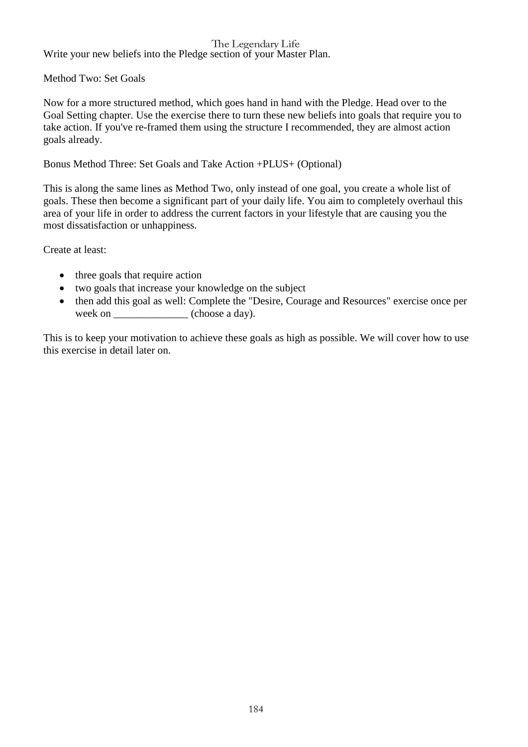Write your new beliefs into the Pledge section of your Master Plan.

Method Two: Set Goals

Now for a more structured method, which goes hand in hand with the Pledge. Head over to the Goal Setting chapter. Use the exercise there to turn these new beliefs into goals that require you to take action. If you've re-framed them using the structure I recommended, they are almost action goals already.

## Bonus Method Three: Set Goals and Take Action +PLUS+ (Optional)

This is along the same lines as Method Two, only instead of one goal, you create a whole list of goals. These then become a significant part of your daily life. You aim to completely overhaul this area of your life in order to address the current factors in your lifestyle that are causing you the most dissatisfaction or unhappiness.

Create at least:

- three goals that require action
- two goals that increase your knowledge on the subject
- then add this goal as well: Complete the "Desire, Courage and Resources" exercise once per week on \_\_\_\_\_\_\_\_\_\_\_\_\_\_ (choose a day).

This is to keep your motivation to achieve these goals as high as possible. We will cover how to use this exercise in detail later on.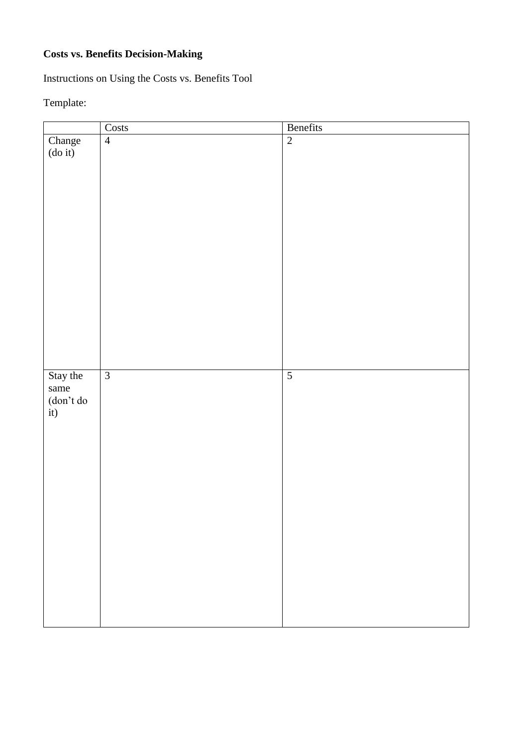# **Costs vs. Benefits Decision-Making**

Instructions on Using the Costs vs. Benefits Tool

# Template:

|                                         | Costs          | Benefits       |
|-----------------------------------------|----------------|----------------|
| Change<br>(do it)                       | $\overline{4}$ | $\overline{2}$ |
|                                         |                |                |
|                                         |                |                |
|                                         |                |                |
|                                         |                |                |
|                                         |                |                |
|                                         |                |                |
|                                         |                |                |
|                                         |                |                |
|                                         |                |                |
|                                         |                |                |
|                                         |                |                |
|                                         |                |                |
|                                         |                |                |
|                                         |                |                |
|                                         |                |                |
|                                         |                |                |
|                                         |                |                |
|                                         |                |                |
| Stay the                                | $\overline{3}$ | $\overline{5}$ |
| same                                    |                |                |
| $\frac{(\text{don't do})}{(\text{it})}$ |                |                |
|                                         |                |                |
|                                         |                |                |
|                                         |                |                |
|                                         |                |                |
|                                         |                |                |
|                                         |                |                |
|                                         |                |                |
|                                         |                |                |
|                                         |                |                |
|                                         |                |                |
|                                         |                |                |
|                                         |                |                |
|                                         |                |                |
|                                         |                |                |
|                                         |                |                |
|                                         |                |                |
|                                         |                |                |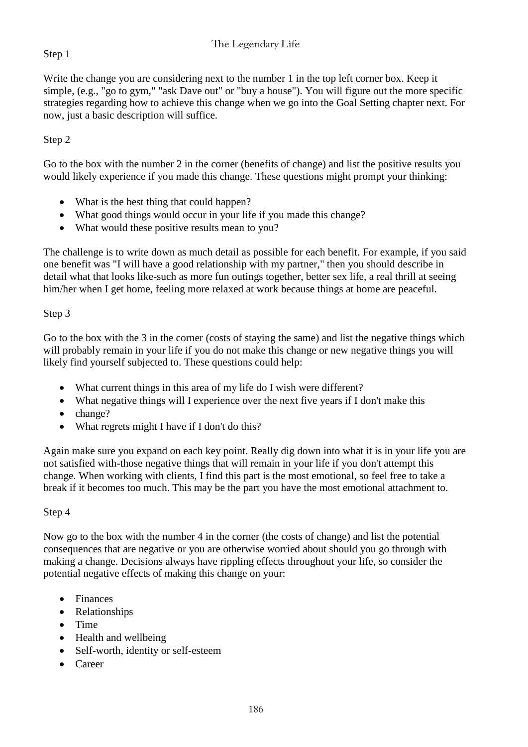# Step 1

Write the change you are considering next to the number 1 in the top left corner box. Keep it simple, (e.g., "go to gym," "ask Dave out" or "buy a house"). You will figure out the more specific strategies regarding how to achieve this change when we go into the Goal Setting chapter next. For now, just a basic description will suffice.

# Step 2

Go to the box with the number 2 in the corner (benefits of change) and list the positive results you would likely experience if you made this change. These questions might prompt your thinking:

- What is the best thing that could happen?
- What good things would occur in your life if you made this change?
- What would these positive results mean to you?

The challenge is to write down as much detail as possible for each benefit. For example, if you said one benefit was "I will have a good relationship with my partner," then you should describe in detail what that looks like-such as more fun outings together, better sex life, a real thrill at seeing him/her when I get home, feeling more relaxed at work because things at home are peaceful.

## Step 3

Go to the box with the 3 in the corner (costs of staying the same) and list the negative things which will probably remain in your life if you do not make this change or new negative things you will likely find yourself subjected to. These questions could help:

- What current things in this area of my life do I wish were different?
- What negative things will I experience over the next five years if I don't make this
- change?
- What regrets might I have if I don't do this?

Again make sure you expand on each key point. Really dig down into what it is in your life you are not satisfied with-those negative things that will remain in your life if you don't attempt this change. When working with clients, I find this part is the most emotional, so feel free to take a break if it becomes too much. This may be the part you have the most emotional attachment to.

## Step 4

Now go to the box with the number 4 in the corner (the costs of change) and list the potential consequences that are negative or you are otherwise worried about should you go through with making a change. Decisions always have rippling effects throughout your life, so consider the potential negative effects of making this change on your:

- Finances
- Relationships
- Time
- Health and wellbeing
- Self-worth, identity or self-esteem
- Career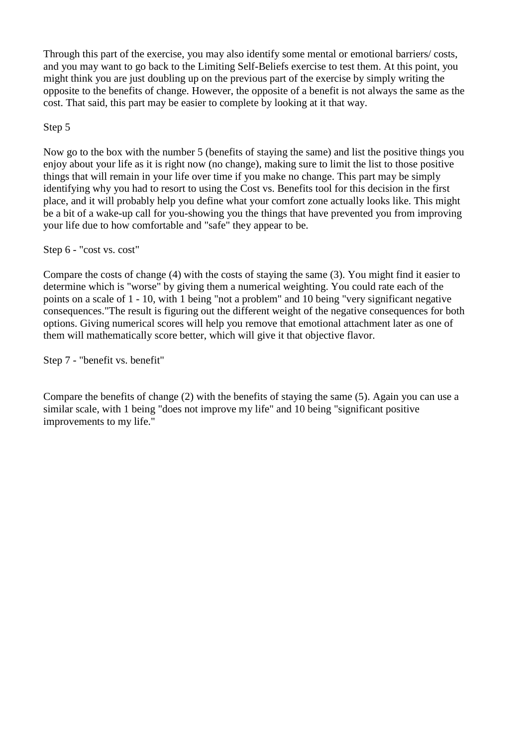Through this part of the exercise, you may also identify some mental or emotional barriers/ costs, and you may want to go back to the Limiting Self-Beliefs exercise to test them. At this point, you might think you are just doubling up on the previous part of the exercise by simply writing the opposite to the benefits of change. However, the opposite of a benefit is not always the same as the cost. That said, this part may be easier to complete by looking at it that way.

## Step 5

Now go to the box with the number 5 (benefits of staying the same) and list the positive things you enjoy about your life as it is right now (no change), making sure to limit the list to those positive things that will remain in your life over time if you make no change. This part may be simply identifying why you had to resort to using the Cost vs. Benefits tool for this decision in the first place, and it will probably help you define what your comfort zone actually looks like. This might be a bit of a wake-up call for you-showing you the things that have prevented you from improving your life due to how comfortable and "safe" they appear to be.

Step 6 - "cost vs. cost"

Compare the costs of change (4) with the costs of staying the same (3). You might find it easier to determine which is "worse" by giving them a numerical weighting. You could rate each of the points on a scale of 1 - 10, with 1 being "not a problem" and 10 being "very significant negative consequences."The result is figuring out the different weight of the negative consequences for both options. Giving numerical scores will help you remove that emotional attachment later as one of them will mathematically score better, which will give it that objective flavor.

Step 7 - "benefit vs. benefit"

Compare the benefits of change (2) with the benefits of staying the same (5). Again you can use a similar scale, with 1 being "does not improve my life" and 10 being "significant positive improvements to my life."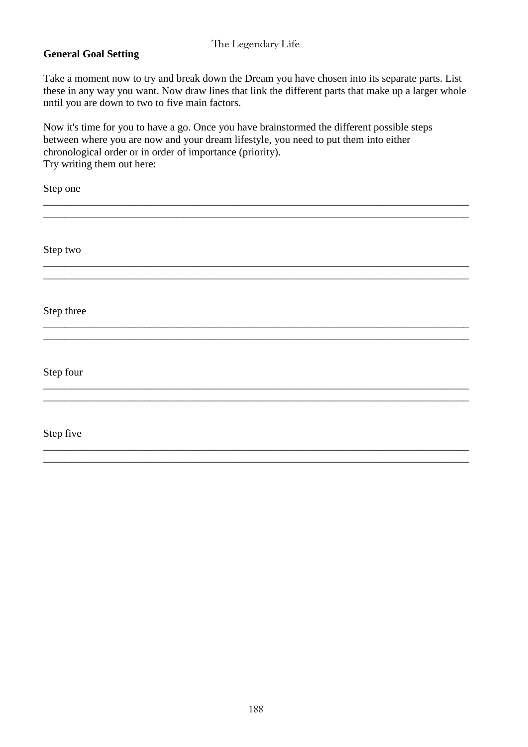## **General Goal Setting**

Take a moment now to try and break down the Dream you have chosen into its separate parts. List these in any way you want. Now draw lines that link the different parts that make up a larger whole until you are down to two to five main factors.

Now it's time for you to have a go. Once you have brainstormed the different possible steps between where you are now and your dream lifestyle, you need to put them into either chronological order or in order of importance (priority). Try writing them out here:

| Step one   |  |
|------------|--|
|            |  |
| Step two   |  |
|            |  |
| Step three |  |
|            |  |
| Step four  |  |
|            |  |
| Step five  |  |
|            |  |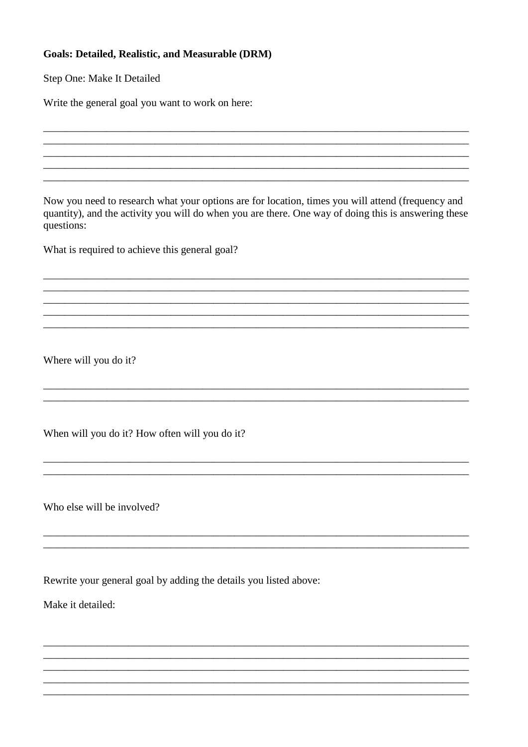## **Goals: Detailed, Realistic, and Measurable (DRM)**

Step One: Make It Detailed

Write the general goal you want to work on here:

Now you need to research what your options are for location, times you will attend (frequency and quantity), and the activity you will do when you are there. One way of doing this is answering these questions:

What is required to achieve this general goal?

Where will you do it?

When will you do it? How often will you do it?

Who else will be involved?

Rewrite your general goal by adding the details you listed above:

Make it detailed: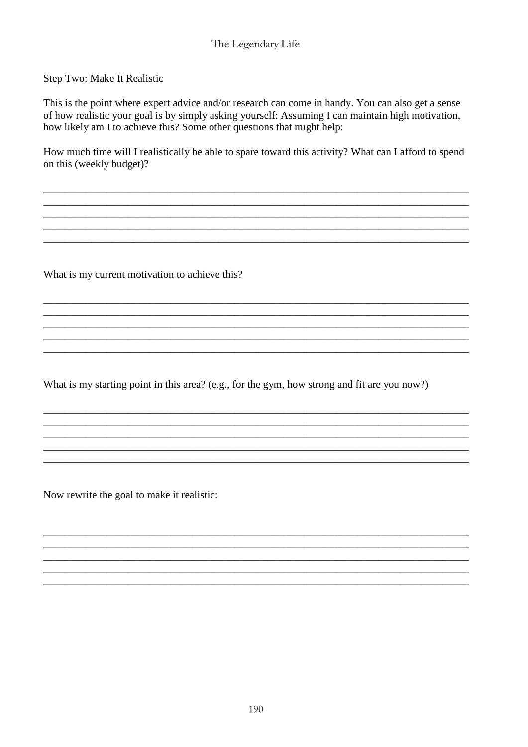Step Two: Make It Realistic

This is the point where expert advice and/or research can come in handy. You can also get a sense of how realistic your goal is by simply asking yourself: Assuming I can maintain high motivation, how likely am I to achieve this? Some other questions that might help:

How much time will I realistically be able to spare toward this activity? What can I afford to spend on this (weekly budget)?

What is my current motivation to achieve this?

What is my starting point in this area? (e.g., for the gym, how strong and fit are you now?)

Now rewrite the goal to make it realistic: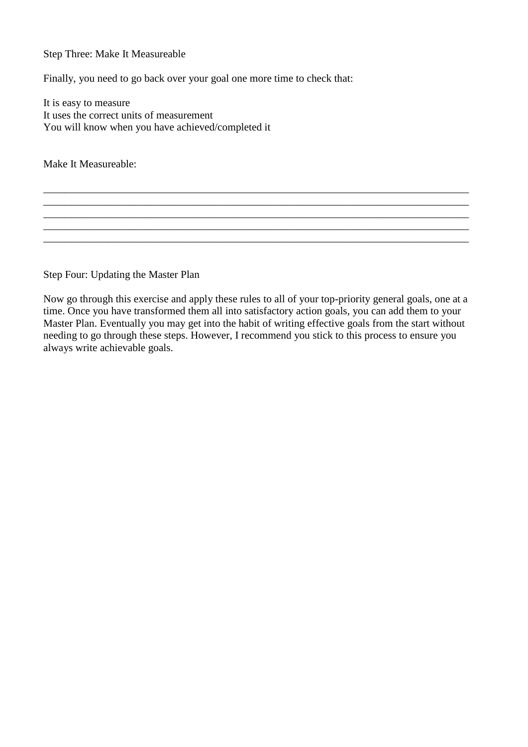## Step Three: Make It Measureable

Finally, you need to go back over your goal one more time to check that:

It is easy to measure It uses the correct units of measurement You will know when you have achieved/completed it

Make It Measureable:

Step Four: Updating the Master Plan

Now go through this exercise and apply these rules to all of your top-priority general goals, one at a time. Once you have transformed them all into satisfactory action goals, you can add them to your Master Plan. Eventually you may get into the habit of writing effective goals from the start without needing to go through these steps. However, I recommend you stick to this process to ensure you always write achievable goals.

\_\_\_\_\_\_\_\_\_\_\_\_\_\_\_\_\_\_\_\_\_\_\_\_\_\_\_\_\_\_\_\_\_\_\_\_\_\_\_\_\_\_\_\_\_\_\_\_\_\_\_\_\_\_\_\_\_\_\_\_\_\_\_\_\_\_\_\_\_\_\_\_\_\_\_\_\_\_\_\_

\_\_\_\_\_\_\_\_\_\_\_\_\_\_\_\_\_\_\_\_\_\_\_\_\_\_\_\_\_\_\_\_\_\_\_\_\_\_\_\_\_\_\_\_\_\_\_\_\_\_\_\_\_\_\_\_\_\_\_\_\_\_\_\_\_\_\_\_\_\_\_\_\_\_\_\_\_\_\_\_ \_\_\_\_\_\_\_\_\_\_\_\_\_\_\_\_\_\_\_\_\_\_\_\_\_\_\_\_\_\_\_\_\_\_\_\_\_\_\_\_\_\_\_\_\_\_\_\_\_\_\_\_\_\_\_\_\_\_\_\_\_\_\_\_\_\_\_\_\_\_\_\_\_\_\_\_\_\_\_\_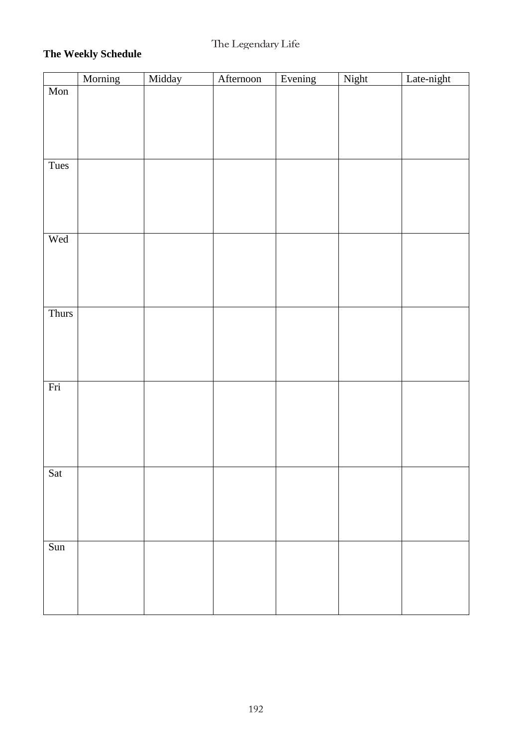# **The Weekly Schedule**

|                         | Morning | Midday | Afternoon | Evening | Night | Late-night |
|-------------------------|---------|--------|-----------|---------|-------|------------|
| Mon                     |         |        |           |         |       |            |
|                         |         |        |           |         |       |            |
|                         |         |        |           |         |       |            |
|                         |         |        |           |         |       |            |
|                         |         |        |           |         |       |            |
|                         |         |        |           |         |       |            |
| Tues                    |         |        |           |         |       |            |
|                         |         |        |           |         |       |            |
|                         |         |        |           |         |       |            |
|                         |         |        |           |         |       |            |
|                         |         |        |           |         |       |            |
|                         |         |        |           |         |       |            |
| Wed                     |         |        |           |         |       |            |
|                         |         |        |           |         |       |            |
|                         |         |        |           |         |       |            |
|                         |         |        |           |         |       |            |
|                         |         |        |           |         |       |            |
|                         |         |        |           |         |       |            |
| Thurs                   |         |        |           |         |       |            |
|                         |         |        |           |         |       |            |
|                         |         |        |           |         |       |            |
|                         |         |        |           |         |       |            |
|                         |         |        |           |         |       |            |
|                         |         |        |           |         |       |            |
| Fri                     |         |        |           |         |       |            |
|                         |         |        |           |         |       |            |
|                         |         |        |           |         |       |            |
|                         |         |        |           |         |       |            |
|                         |         |        |           |         |       |            |
|                         |         |        |           |         |       |            |
|                         |         |        |           |         |       |            |
| Sat                     |         |        |           |         |       |            |
|                         |         |        |           |         |       |            |
|                         |         |        |           |         |       |            |
|                         |         |        |           |         |       |            |
|                         |         |        |           |         |       |            |
|                         |         |        |           |         |       |            |
| $\overline{\text{Sun}}$ |         |        |           |         |       |            |
|                         |         |        |           |         |       |            |
|                         |         |        |           |         |       |            |
|                         |         |        |           |         |       |            |
|                         |         |        |           |         |       |            |
|                         |         |        |           |         |       |            |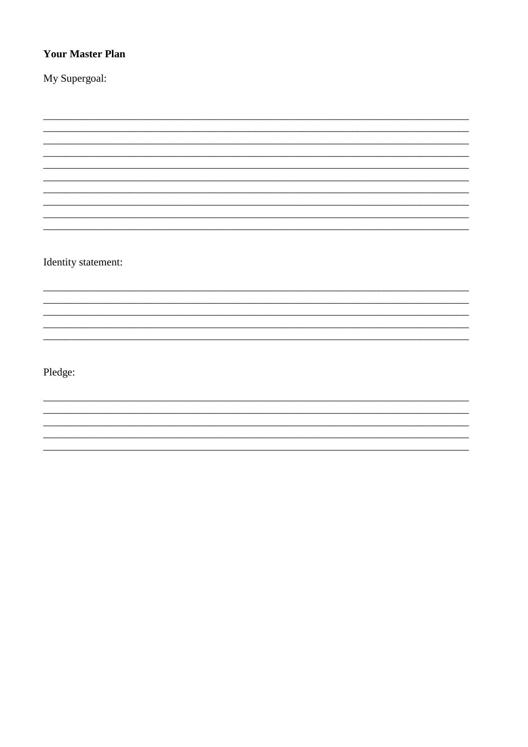# **Your Master Plan**

My Supergoal:

Identity statement:

Pledge: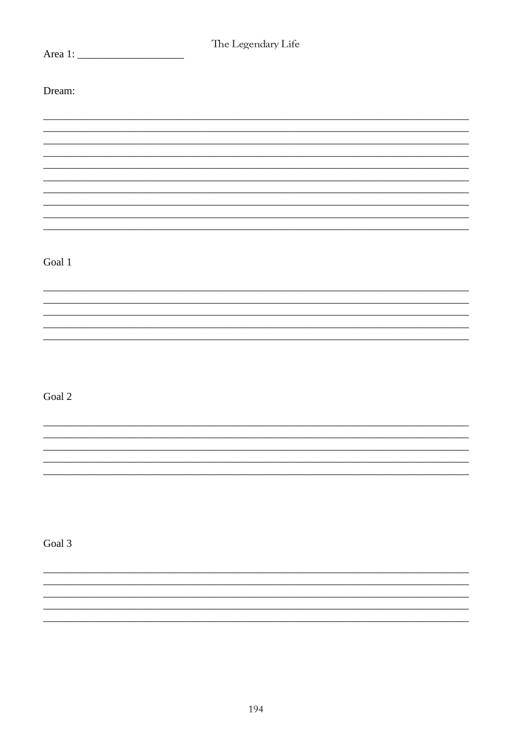| The Legendary Life |  |  |  |
|--------------------|--|--|--|
|                    |  |  |  |
|                    |  |  |  |
|                    |  |  |  |
| Dream:             |  |  |  |
|                    |  |  |  |
|                    |  |  |  |
|                    |  |  |  |
|                    |  |  |  |
|                    |  |  |  |
|                    |  |  |  |
|                    |  |  |  |
|                    |  |  |  |
|                    |  |  |  |
|                    |  |  |  |
|                    |  |  |  |
|                    |  |  |  |
|                    |  |  |  |
|                    |  |  |  |
| Goal $1\,$         |  |  |  |
|                    |  |  |  |
|                    |  |  |  |
|                    |  |  |  |
|                    |  |  |  |
|                    |  |  |  |
|                    |  |  |  |
|                    |  |  |  |
|                    |  |  |  |
|                    |  |  |  |
|                    |  |  |  |
| Goal 2             |  |  |  |
|                    |  |  |  |
|                    |  |  |  |
|                    |  |  |  |
|                    |  |  |  |
|                    |  |  |  |
|                    |  |  |  |
|                    |  |  |  |
|                    |  |  |  |
|                    |  |  |  |
|                    |  |  |  |
|                    |  |  |  |
| Goal 3             |  |  |  |
|                    |  |  |  |
|                    |  |  |  |
|                    |  |  |  |
|                    |  |  |  |
|                    |  |  |  |
|                    |  |  |  |
|                    |  |  |  |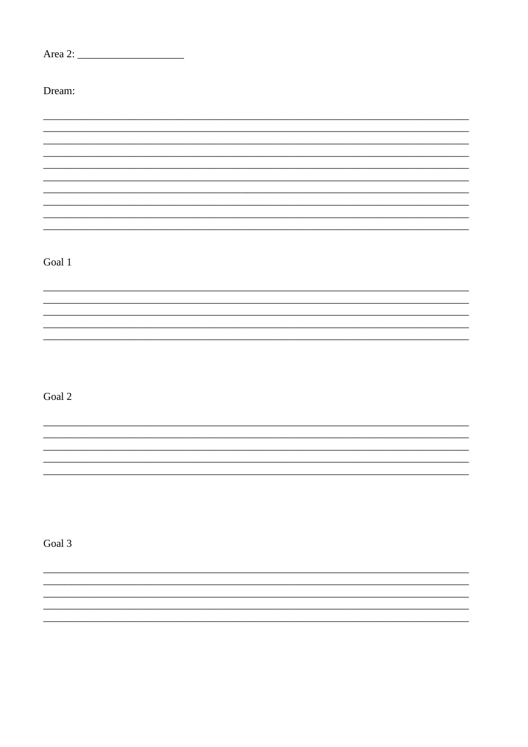| Dream:     |  |  |
|------------|--|--|
|            |  |  |
|            |  |  |
|            |  |  |
|            |  |  |
|            |  |  |
| Goal $1\,$ |  |  |
|            |  |  |
|            |  |  |
|            |  |  |
| Goal 2     |  |  |
|            |  |  |
|            |  |  |
|            |  |  |
|            |  |  |
| Goal 3     |  |  |
|            |  |  |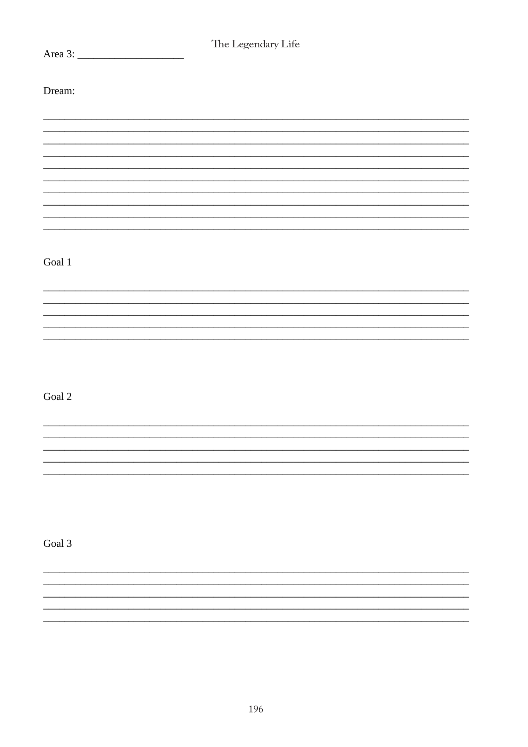| The Legendary Life |  |  |  |
|--------------------|--|--|--|
|                    |  |  |  |
|                    |  |  |  |
|                    |  |  |  |
| Dream:             |  |  |  |
|                    |  |  |  |
|                    |  |  |  |
|                    |  |  |  |
|                    |  |  |  |
|                    |  |  |  |
|                    |  |  |  |
|                    |  |  |  |
|                    |  |  |  |
|                    |  |  |  |
|                    |  |  |  |
|                    |  |  |  |
|                    |  |  |  |
|                    |  |  |  |
| Goal $1\,$         |  |  |  |
|                    |  |  |  |
|                    |  |  |  |
|                    |  |  |  |
|                    |  |  |  |
|                    |  |  |  |
|                    |  |  |  |
|                    |  |  |  |
|                    |  |  |  |
|                    |  |  |  |
|                    |  |  |  |
|                    |  |  |  |
| Goal $2\,$         |  |  |  |
|                    |  |  |  |
|                    |  |  |  |
|                    |  |  |  |
|                    |  |  |  |
|                    |  |  |  |
|                    |  |  |  |
|                    |  |  |  |
|                    |  |  |  |
|                    |  |  |  |
|                    |  |  |  |
|                    |  |  |  |
| Goal 3             |  |  |  |
|                    |  |  |  |
|                    |  |  |  |
|                    |  |  |  |
|                    |  |  |  |
|                    |  |  |  |
|                    |  |  |  |
|                    |  |  |  |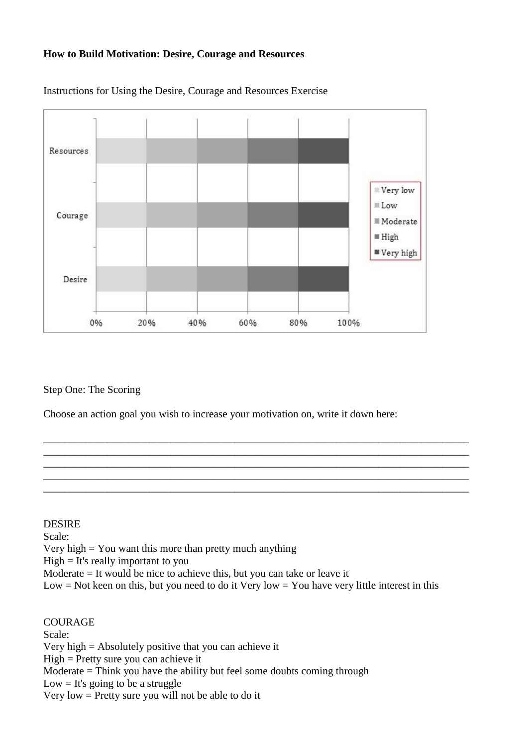## **How to Build Motivation: Desire, Courage and Resources**



Instructions for Using the Desire, Courage and Resources Exercise

Step One: The Scoring

Choose an action goal you wish to increase your motivation on, write it down here:

\_\_\_\_\_\_\_\_\_\_\_\_\_\_\_\_\_\_\_\_\_\_\_\_\_\_\_\_\_\_\_\_\_\_\_\_\_\_\_\_\_\_\_\_\_\_\_\_\_\_\_\_\_\_\_\_\_\_\_\_\_\_\_\_\_\_\_\_\_\_\_\_\_\_\_\_\_\_\_\_ \_\_\_\_\_\_\_\_\_\_\_\_\_\_\_\_\_\_\_\_\_\_\_\_\_\_\_\_\_\_\_\_\_\_\_\_\_\_\_\_\_\_\_\_\_\_\_\_\_\_\_\_\_\_\_\_\_\_\_\_\_\_\_\_\_\_\_\_\_\_\_\_\_\_\_\_\_\_\_\_ \_\_\_\_\_\_\_\_\_\_\_\_\_\_\_\_\_\_\_\_\_\_\_\_\_\_\_\_\_\_\_\_\_\_\_\_\_\_\_\_\_\_\_\_\_\_\_\_\_\_\_\_\_\_\_\_\_\_\_\_\_\_\_\_\_\_\_\_\_\_\_\_\_\_\_\_\_\_\_\_ \_\_\_\_\_\_\_\_\_\_\_\_\_\_\_\_\_\_\_\_\_\_\_\_\_\_\_\_\_\_\_\_\_\_\_\_\_\_\_\_\_\_\_\_\_\_\_\_\_\_\_\_\_\_\_\_\_\_\_\_\_\_\_\_\_\_\_\_\_\_\_\_\_\_\_\_\_\_\_\_ \_\_\_\_\_\_\_\_\_\_\_\_\_\_\_\_\_\_\_\_\_\_\_\_\_\_\_\_\_\_\_\_\_\_\_\_\_\_\_\_\_\_\_\_\_\_\_\_\_\_\_\_\_\_\_\_\_\_\_\_\_\_\_\_\_\_\_\_\_\_\_\_\_\_\_\_\_\_\_\_

## DESIRE

Scale:

Very high  $=$  You want this more than pretty much anything

High = It's really important to you

Moderate = It would be nice to achieve this, but you can take or leave it

Low  $=$  Not keen on this, but you need to do it Very low  $=$  You have very little interest in this

COURAGE Scale: Very high = Absolutely positive that you can achieve it High = Pretty sure you can achieve it Moderate = Think you have the ability but feel some doubts coming through  $Low = It's going to be a struggle$ Very low = Pretty sure you will not be able to do it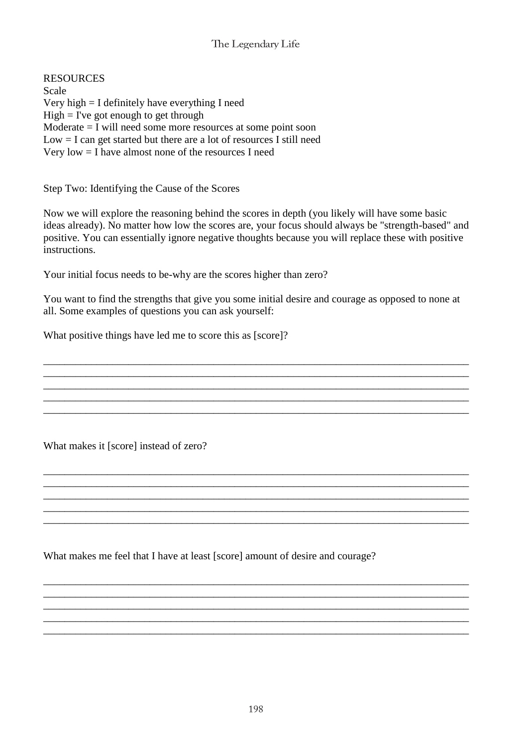RESOURCES Scale Very high = I definitely have everything I need  $High = I've got enough to get through$ Moderate = I will need some more resources at some point soon  $Low = I can get started but there are a lot of resources I still need$ Very low = I have almost none of the resources I need

Step Two: Identifying the Cause of the Scores

Now we will explore the reasoning behind the scores in depth (you likely will have some basic ideas already). No matter how low the scores are, your focus should always be "strength-based" and positive. You can essentially ignore negative thoughts because you will replace these with positive instructions.

Your initial focus needs to be-why are the scores higher than zero?

You want to find the strengths that give you some initial desire and courage as opposed to none at all. Some examples of questions you can ask yourself:

\_\_\_\_\_\_\_\_\_\_\_\_\_\_\_\_\_\_\_\_\_\_\_\_\_\_\_\_\_\_\_\_\_\_\_\_\_\_\_\_\_\_\_\_\_\_\_\_\_\_\_\_\_\_\_\_\_\_\_\_\_\_\_\_\_\_\_\_\_\_\_\_\_\_\_\_\_\_\_\_

\_\_\_\_\_\_\_\_\_\_\_\_\_\_\_\_\_\_\_\_\_\_\_\_\_\_\_\_\_\_\_\_\_\_\_\_\_\_\_\_\_\_\_\_\_\_\_\_\_\_\_\_\_\_\_\_\_\_\_\_\_\_\_\_\_\_\_\_\_\_\_\_\_\_\_\_\_\_\_\_

\_\_\_\_\_\_\_\_\_\_\_\_\_\_\_\_\_\_\_\_\_\_\_\_\_\_\_\_\_\_\_\_\_\_\_\_\_\_\_\_\_\_\_\_\_\_\_\_\_\_\_\_\_\_\_\_\_\_\_\_\_\_\_\_\_\_\_\_\_\_\_\_\_\_\_\_\_\_\_\_

\_\_\_\_\_\_\_\_\_\_\_\_\_\_\_\_\_\_\_\_\_\_\_\_\_\_\_\_\_\_\_\_\_\_\_\_\_\_\_\_\_\_\_\_\_\_\_\_\_\_\_\_\_\_\_\_\_\_\_\_\_\_\_\_\_\_\_\_\_\_\_\_\_\_\_\_\_\_\_\_ \_\_\_\_\_\_\_\_\_\_\_\_\_\_\_\_\_\_\_\_\_\_\_\_\_\_\_\_\_\_\_\_\_\_\_\_\_\_\_\_\_\_\_\_\_\_\_\_\_\_\_\_\_\_\_\_\_\_\_\_\_\_\_\_\_\_\_\_\_\_\_\_\_\_\_\_\_\_\_\_ \_\_\_\_\_\_\_\_\_\_\_\_\_\_\_\_\_\_\_\_\_\_\_\_\_\_\_\_\_\_\_\_\_\_\_\_\_\_\_\_\_\_\_\_\_\_\_\_\_\_\_\_\_\_\_\_\_\_\_\_\_\_\_\_\_\_\_\_\_\_\_\_\_\_\_\_\_\_\_\_ \_\_\_\_\_\_\_\_\_\_\_\_\_\_\_\_\_\_\_\_\_\_\_\_\_\_\_\_\_\_\_\_\_\_\_\_\_\_\_\_\_\_\_\_\_\_\_\_\_\_\_\_\_\_\_\_\_\_\_\_\_\_\_\_\_\_\_\_\_\_\_\_\_\_\_\_\_\_\_\_ \_\_\_\_\_\_\_\_\_\_\_\_\_\_\_\_\_\_\_\_\_\_\_\_\_\_\_\_\_\_\_\_\_\_\_\_\_\_\_\_\_\_\_\_\_\_\_\_\_\_\_\_\_\_\_\_\_\_\_\_\_\_\_\_\_\_\_\_\_\_\_\_\_\_\_\_\_\_\_\_

\_\_\_\_\_\_\_\_\_\_\_\_\_\_\_\_\_\_\_\_\_\_\_\_\_\_\_\_\_\_\_\_\_\_\_\_\_\_\_\_\_\_\_\_\_\_\_\_\_\_\_\_\_\_\_\_\_\_\_\_\_\_\_\_\_\_\_\_\_\_\_\_\_\_\_\_\_\_\_\_ \_\_\_\_\_\_\_\_\_\_\_\_\_\_\_\_\_\_\_\_\_\_\_\_\_\_\_\_\_\_\_\_\_\_\_\_\_\_\_\_\_\_\_\_\_\_\_\_\_\_\_\_\_\_\_\_\_\_\_\_\_\_\_\_\_\_\_\_\_\_\_\_\_\_\_\_\_\_\_\_ \_\_\_\_\_\_\_\_\_\_\_\_\_\_\_\_\_\_\_\_\_\_\_\_\_\_\_\_\_\_\_\_\_\_\_\_\_\_\_\_\_\_\_\_\_\_\_\_\_\_\_\_\_\_\_\_\_\_\_\_\_\_\_\_\_\_\_\_\_\_\_\_\_\_\_\_\_\_\_\_

\_\_\_\_\_\_\_\_\_\_\_\_\_\_\_\_\_\_\_\_\_\_\_\_\_\_\_\_\_\_\_\_\_\_\_\_\_\_\_\_\_\_\_\_\_\_\_\_\_\_\_\_\_\_\_\_\_\_\_\_\_\_\_\_\_\_\_\_\_\_\_\_\_\_\_\_\_\_\_\_

What positive things have led me to score this as [score]?

What makes it [score] instead of zero?

What makes me feel that I have at least [score] amount of desire and courage?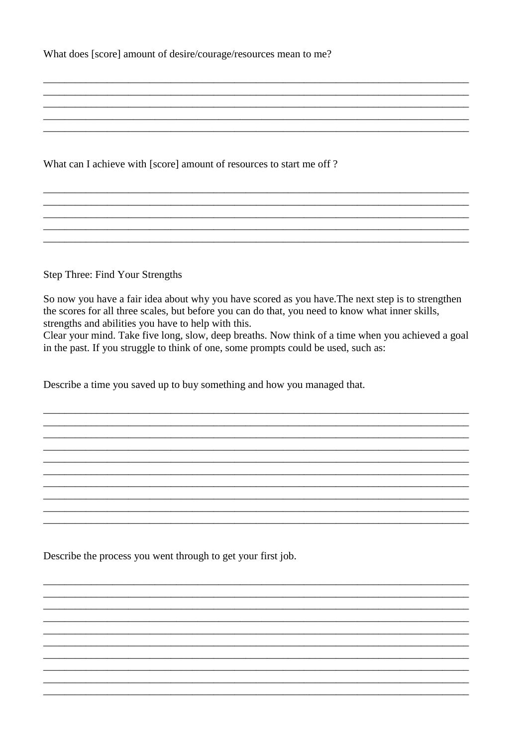What does [score] amount of desire/courage/resources mean to me?

What can I achieve with [score] amount of resources to start me off?

Step Three: Find Your Strengths

So now you have a fair idea about why you have scored as you have. The next step is to strengthen the scores for all three scales, but before you can do that, you need to know what inner skills, strengths and abilities you have to help with this.

Clear your mind. Take five long, slow, deep breaths. Now think of a time when you achieved a goal in the past. If you struggle to think of one, some prompts could be used, such as:

Describe a time you saved up to buy something and how you managed that.

Describe the process you went through to get your first job.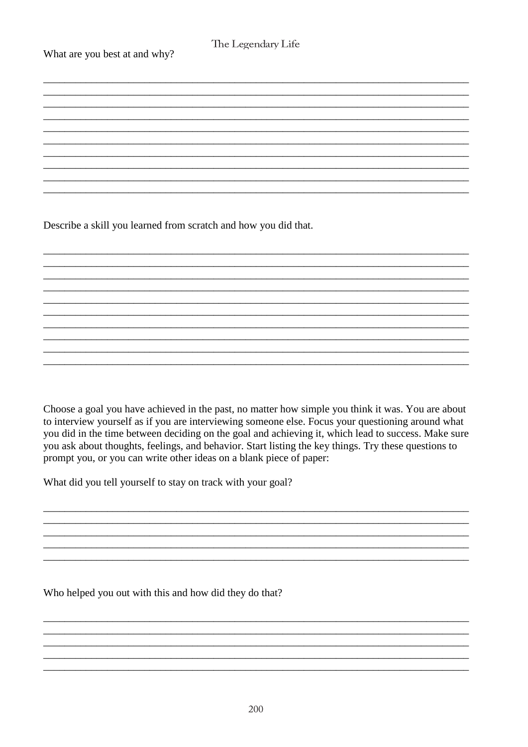What are you best at and why?

Describe a skill you learned from scratch and how you did that.

Choose a goal you have achieved in the past, no matter how simple you think it was. You are about to interview yourself as if you are interviewing someone else. Focus your questioning around what you did in the time between deciding on the goal and achieving it, which lead to success. Make sure you ask about thoughts, feelings, and behavior. Start listing the key things. Try these questions to prompt you, or you can write other ideas on a blank piece of paper:

What did you tell yourself to stay on track with your goal?

Who helped you out with this and how did they do that?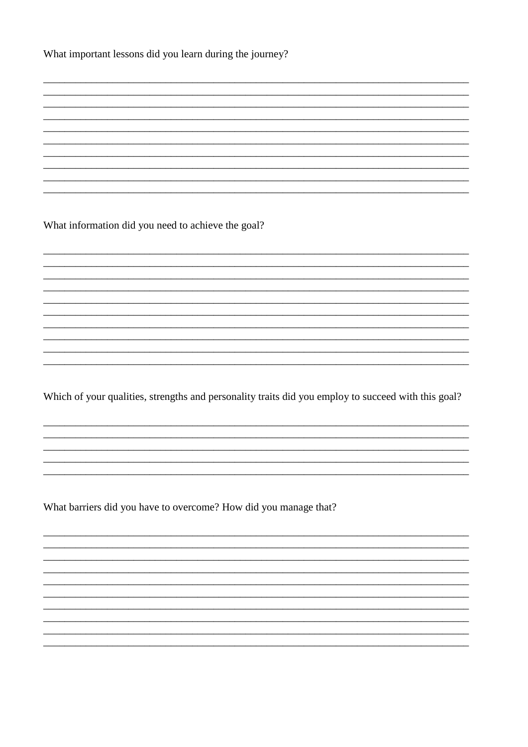What important lessons did you learn during the journey?

What information did you need to achieve the goal?

Which of your qualities, strengths and personality traits did you employ to succeed with this goal?

What barriers did you have to overcome? How did you manage that?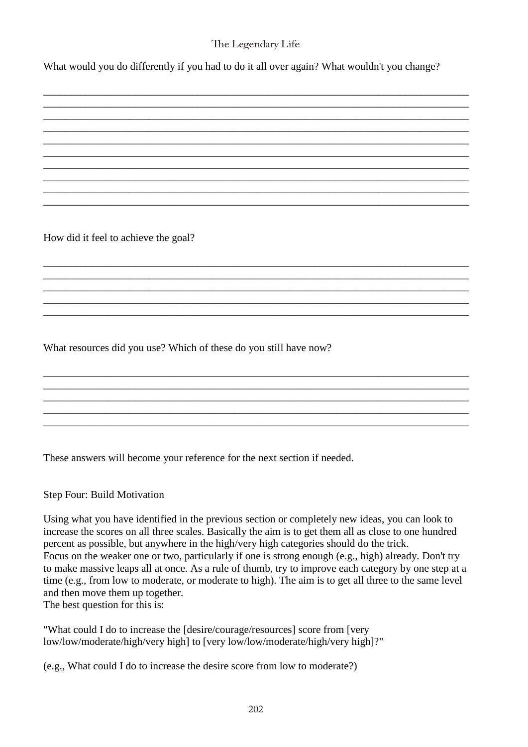\_\_\_\_\_\_\_\_\_\_\_\_\_\_\_\_\_\_\_\_\_\_\_\_\_\_\_\_\_\_\_\_\_\_\_\_\_\_\_\_\_\_\_\_\_\_\_\_\_\_\_\_\_\_\_\_\_\_\_\_\_\_\_\_\_\_\_\_\_\_\_\_\_\_\_\_\_\_\_\_ \_\_\_\_\_\_\_\_\_\_\_\_\_\_\_\_\_\_\_\_\_\_\_\_\_\_\_\_\_\_\_\_\_\_\_\_\_\_\_\_\_\_\_\_\_\_\_\_\_\_\_\_\_\_\_\_\_\_\_\_\_\_\_\_\_\_\_\_\_\_\_\_\_\_\_\_\_\_\_\_ \_\_\_\_\_\_\_\_\_\_\_\_\_\_\_\_\_\_\_\_\_\_\_\_\_\_\_\_\_\_\_\_\_\_\_\_\_\_\_\_\_\_\_\_\_\_\_\_\_\_\_\_\_\_\_\_\_\_\_\_\_\_\_\_\_\_\_\_\_\_\_\_\_\_\_\_\_\_\_\_ \_\_\_\_\_\_\_\_\_\_\_\_\_\_\_\_\_\_\_\_\_\_\_\_\_\_\_\_\_\_\_\_\_\_\_\_\_\_\_\_\_\_\_\_\_\_\_\_\_\_\_\_\_\_\_\_\_\_\_\_\_\_\_\_\_\_\_\_\_\_\_\_\_\_\_\_\_\_\_\_ \_\_\_\_\_\_\_\_\_\_\_\_\_\_\_\_\_\_\_\_\_\_\_\_\_\_\_\_\_\_\_\_\_\_\_\_\_\_\_\_\_\_\_\_\_\_\_\_\_\_\_\_\_\_\_\_\_\_\_\_\_\_\_\_\_\_\_\_\_\_\_\_\_\_\_\_\_\_\_\_ \_\_\_\_\_\_\_\_\_\_\_\_\_\_\_\_\_\_\_\_\_\_\_\_\_\_\_\_\_\_\_\_\_\_\_\_\_\_\_\_\_\_\_\_\_\_\_\_\_\_\_\_\_\_\_\_\_\_\_\_\_\_\_\_\_\_\_\_\_\_\_\_\_\_\_\_\_\_\_\_ \_\_\_\_\_\_\_\_\_\_\_\_\_\_\_\_\_\_\_\_\_\_\_\_\_\_\_\_\_\_\_\_\_\_\_\_\_\_\_\_\_\_\_\_\_\_\_\_\_\_\_\_\_\_\_\_\_\_\_\_\_\_\_\_\_\_\_\_\_\_\_\_\_\_\_\_\_\_\_\_ \_\_\_\_\_\_\_\_\_\_\_\_\_\_\_\_\_\_\_\_\_\_\_\_\_\_\_\_\_\_\_\_\_\_\_\_\_\_\_\_\_\_\_\_\_\_\_\_\_\_\_\_\_\_\_\_\_\_\_\_\_\_\_\_\_\_\_\_\_\_\_\_\_\_\_\_\_\_\_\_

\_\_\_\_\_\_\_\_\_\_\_\_\_\_\_\_\_\_\_\_\_\_\_\_\_\_\_\_\_\_\_\_\_\_\_\_\_\_\_\_\_\_\_\_\_\_\_\_\_\_\_\_\_\_\_\_\_\_\_\_\_\_\_\_\_\_\_\_\_\_\_\_\_\_\_\_\_\_\_\_

\_\_\_\_\_\_\_\_\_\_\_\_\_\_\_\_\_\_\_\_\_\_\_\_\_\_\_\_\_\_\_\_\_\_\_\_\_\_\_\_\_\_\_\_\_\_\_\_\_\_\_\_\_\_\_\_\_\_\_\_\_\_\_\_\_\_\_\_\_\_\_\_\_\_\_\_\_\_\_\_ \_\_\_\_\_\_\_\_\_\_\_\_\_\_\_\_\_\_\_\_\_\_\_\_\_\_\_\_\_\_\_\_\_\_\_\_\_\_\_\_\_\_\_\_\_\_\_\_\_\_\_\_\_\_\_\_\_\_\_\_\_\_\_\_\_\_\_\_\_\_\_\_\_\_\_\_\_\_\_\_ \_\_\_\_\_\_\_\_\_\_\_\_\_\_\_\_\_\_\_\_\_\_\_\_\_\_\_\_\_\_\_\_\_\_\_\_\_\_\_\_\_\_\_\_\_\_\_\_\_\_\_\_\_\_\_\_\_\_\_\_\_\_\_\_\_\_\_\_\_\_\_\_\_\_\_\_\_\_\_\_ \_\_\_\_\_\_\_\_\_\_\_\_\_\_\_\_\_\_\_\_\_\_\_\_\_\_\_\_\_\_\_\_\_\_\_\_\_\_\_\_\_\_\_\_\_\_\_\_\_\_\_\_\_\_\_\_\_\_\_\_\_\_\_\_\_\_\_\_\_\_\_\_\_\_\_\_\_\_\_\_ \_\_\_\_\_\_\_\_\_\_\_\_\_\_\_\_\_\_\_\_\_\_\_\_\_\_\_\_\_\_\_\_\_\_\_\_\_\_\_\_\_\_\_\_\_\_\_\_\_\_\_\_\_\_\_\_\_\_\_\_\_\_\_\_\_\_\_\_\_\_\_\_\_\_\_\_\_\_\_\_

\_\_\_\_\_\_\_\_\_\_\_\_\_\_\_\_\_\_\_\_\_\_\_\_\_\_\_\_\_\_\_\_\_\_\_\_\_\_\_\_\_\_\_\_\_\_\_\_\_\_\_\_\_\_\_\_\_\_\_\_\_\_\_\_\_\_\_\_\_\_\_\_\_\_\_\_\_\_\_\_ \_\_\_\_\_\_\_\_\_\_\_\_\_\_\_\_\_\_\_\_\_\_\_\_\_\_\_\_\_\_\_\_\_\_\_\_\_\_\_\_\_\_\_\_\_\_\_\_\_\_\_\_\_\_\_\_\_\_\_\_\_\_\_\_\_\_\_\_\_\_\_\_\_\_\_\_\_\_\_\_ \_\_\_\_\_\_\_\_\_\_\_\_\_\_\_\_\_\_\_\_\_\_\_\_\_\_\_\_\_\_\_\_\_\_\_\_\_\_\_\_\_\_\_\_\_\_\_\_\_\_\_\_\_\_\_\_\_\_\_\_\_\_\_\_\_\_\_\_\_\_\_\_\_\_\_\_\_\_\_\_ \_\_\_\_\_\_\_\_\_\_\_\_\_\_\_\_\_\_\_\_\_\_\_\_\_\_\_\_\_\_\_\_\_\_\_\_\_\_\_\_\_\_\_\_\_\_\_\_\_\_\_\_\_\_\_\_\_\_\_\_\_\_\_\_\_\_\_\_\_\_\_\_\_\_\_\_\_\_\_\_ \_\_\_\_\_\_\_\_\_\_\_\_\_\_\_\_\_\_\_\_\_\_\_\_\_\_\_\_\_\_\_\_\_\_\_\_\_\_\_\_\_\_\_\_\_\_\_\_\_\_\_\_\_\_\_\_\_\_\_\_\_\_\_\_\_\_\_\_\_\_\_\_\_\_\_\_\_\_\_\_

What would you do differently if you had to do it all over again? What wouldn't you change?

How did it feel to achieve the goal?

What resources did you use? Which of these do you still have now?

These answers will become your reference for the next section if needed.

Step Four: Build Motivation

Using what you have identified in the previous section or completely new ideas, you can look to increase the scores on all three scales. Basically the aim is to get them all as close to one hundred percent as possible, but anywhere in the high/very high categories should do the trick. Focus on the weaker one or two, particularly if one is strong enough (e.g., high) already. Don't try to make massive leaps all at once. As a rule of thumb, try to improve each category by one step at a time (e.g., from low to moderate, or moderate to high). The aim is to get all three to the same level and then move them up together.

The best question for this is:

"What could I do to increase the [desire/courage/resources] score from [very low/low/moderate/high/very high] to [very low/low/moderate/high/very high]?"

(e.g., What could I do to increase the desire score from low to moderate?)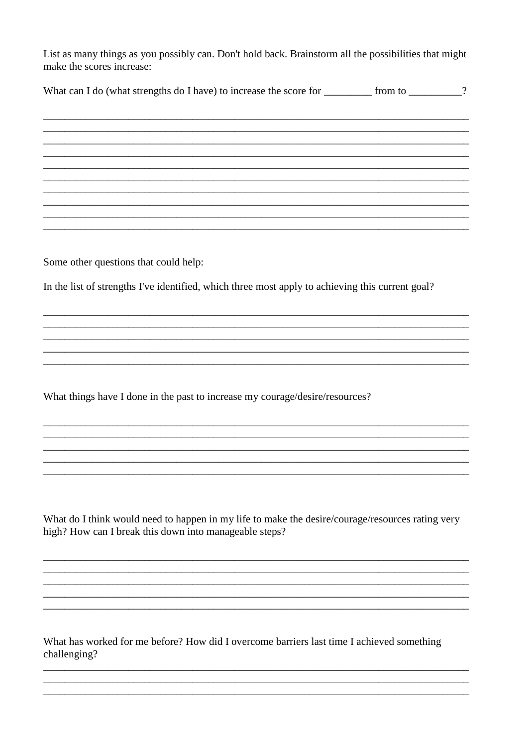List as many things as you possibly can. Don't hold back. Brainstorm all the possibilities that might make the scores increase:

| What can I do (what strengths do I have) to increase the score for |  | from to |  |
|--------------------------------------------------------------------|--|---------|--|
|--------------------------------------------------------------------|--|---------|--|

Some other questions that could help:

In the list of strengths I've identified, which three most apply to achieving this current goal?

What things have I done in the past to increase my courage/desire/resources?

What do I think would need to happen in my life to make the desire/courage/resources rating very high? How can I break this down into manageable steps?

What has worked for me before? How did I overcome barriers last time I achieved something challenging?